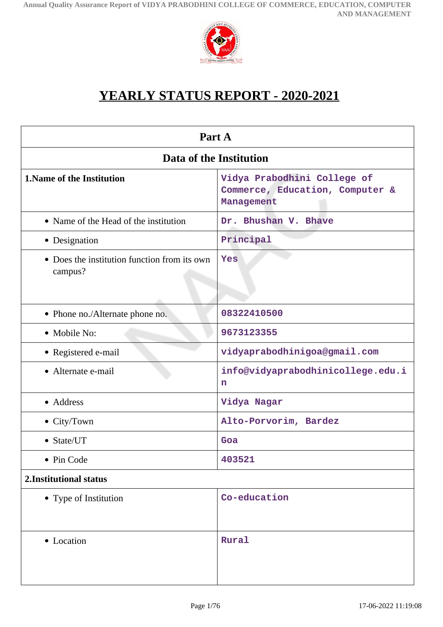

# **YEARLY STATUS REPORT - 2020-2021**

| Part A                                                  |                                                                              |  |  |
|---------------------------------------------------------|------------------------------------------------------------------------------|--|--|
| Data of the Institution                                 |                                                                              |  |  |
| <b>1. Name of the Institution</b>                       | Vidya Prabodhini College of<br>Commerce, Education, Computer &<br>Management |  |  |
| • Name of the Head of the institution                   | Dr. Bhushan V. Bhave                                                         |  |  |
| • Designation                                           | Principal                                                                    |  |  |
| • Does the institution function from its own<br>campus? | Yes                                                                          |  |  |
| • Phone no./Alternate phone no.                         | 08322410500                                                                  |  |  |
| • Mobile No:                                            | 9673123355                                                                   |  |  |
| • Registered e-mail                                     | vidyaprabodhinigoa@gmail.com                                                 |  |  |
| • Alternate e-mail                                      | info@vidyaprabodhinicollege.edu.i<br>n                                       |  |  |
| • Address                                               | Vidya Nagar                                                                  |  |  |
| • City/Town                                             | Alto-Porvorim, Bardez                                                        |  |  |
| • State/UT                                              | Goa                                                                          |  |  |
| Pin Code                                                | 403521                                                                       |  |  |
| 2. Institutional status                                 |                                                                              |  |  |
| • Type of Institution                                   | Co-education                                                                 |  |  |
| • Location                                              | Rural                                                                        |  |  |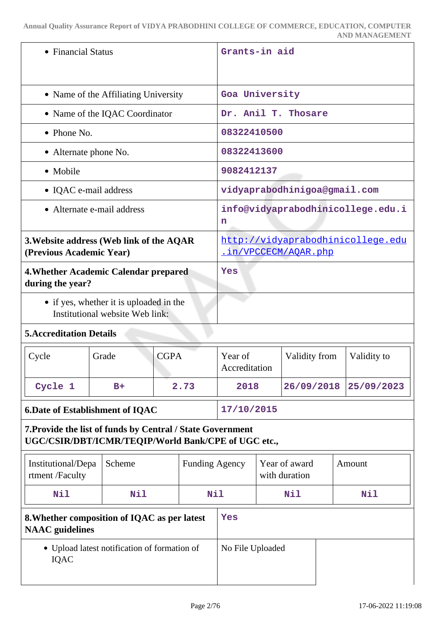| • Financial Status                                                                                                |                                      |                       | Grants-in aid |                                                           |                                |               |  |                              |
|-------------------------------------------------------------------------------------------------------------------|--------------------------------------|-----------------------|---------------|-----------------------------------------------------------|--------------------------------|---------------|--|------------------------------|
|                                                                                                                   | • Name of the Affiliating University |                       |               | Goa University                                            |                                |               |  |                              |
|                                                                                                                   | • Name of the IQAC Coordinator       |                       |               | Dr. Anil T. Thosare                                       |                                |               |  |                              |
| $\bullet$ Phone No.                                                                                               |                                      |                       |               | 08322410500                                               |                                |               |  |                              |
| • Alternate phone No.                                                                                             |                                      |                       |               | 08322413600                                               |                                |               |  |                              |
| • Mobile                                                                                                          |                                      |                       |               | 9082412137                                                |                                |               |  |                              |
| • IQAC e-mail address                                                                                             |                                      |                       |               |                                                           |                                |               |  | vidyaprabodhinigoa@gmail.com |
| • Alternate e-mail address                                                                                        |                                      |                       |               | info@vidyaprabodhinicollege.edu.i<br>n                    |                                |               |  |                              |
| 3. Website address (Web link of the AQAR<br>(Previous Academic Year)                                              |                                      |                       |               | http://vidyaprabodhinicollege.edu<br>.in/VPCCECM/AOAR.php |                                |               |  |                              |
| 4. Whether Academic Calendar prepared<br>during the year?                                                         |                                      | <b>Yes</b>            |               |                                                           |                                |               |  |                              |
| • if yes, whether it is uploaded in the<br>Institutional website Web link:                                        |                                      |                       |               |                                                           |                                |               |  |                              |
| <b>5. Accreditation Details</b>                                                                                   |                                      |                       |               |                                                           |                                |               |  |                              |
| Cycle                                                                                                             | Grade                                | <b>CGPA</b>           |               | Year of<br>Accreditation                                  |                                | Validity from |  | Validity to                  |
| Cycle 1                                                                                                           | $B+$                                 | 2.73                  |               | 2018                                                      |                                | 26/09/2018    |  | 25/09/2023                   |
| <b>6.Date of Establishment of IQAC</b>                                                                            |                                      | 17/10/2015            |               |                                                           |                                |               |  |                              |
| 7. Provide the list of funds by Central / State Government<br>UGC/CSIR/DBT/ICMR/TEQIP/World Bank/CPE of UGC etc., |                                      |                       |               |                                                           |                                |               |  |                              |
| Institutional/Depa<br>rtment /Faculty                                                                             | Scheme                               | <b>Funding Agency</b> |               |                                                           | Year of award<br>with duration |               |  | Amount                       |
| Nil                                                                                                               | Nil<br>Nil                           |                       |               | Nil                                                       |                                | Nil           |  |                              |
| 8. Whether composition of IQAC as per latest<br><b>NAAC</b> guidelines                                            |                                      | Yes                   |               |                                                           |                                |               |  |                              |
| • Upload latest notification of formation of<br>IQAC                                                              |                                      | No File Uploaded      |               |                                                           |                                |               |  |                              |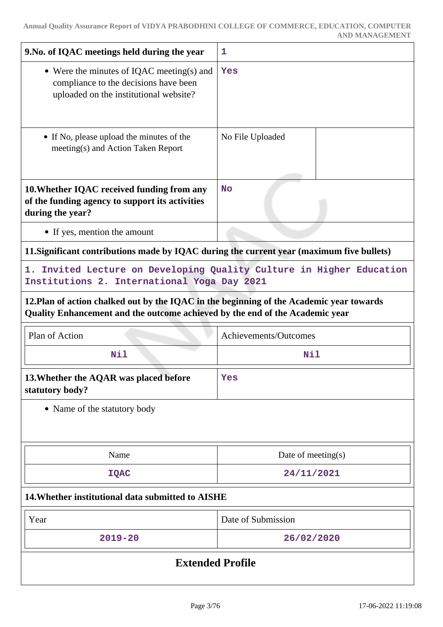| 9. No. of IQAC meetings held during the year                                                                                                                             | 1                     |  |
|--------------------------------------------------------------------------------------------------------------------------------------------------------------------------|-----------------------|--|
| • Were the minutes of IQAC meeting(s) and<br>compliance to the decisions have been<br>uploaded on the institutional website?                                             | Yes                   |  |
| • If No, please upload the minutes of the<br>meeting(s) and Action Taken Report                                                                                          | No File Uploaded      |  |
| 10. Whether IQAC received funding from any<br>of the funding agency to support its activities<br>during the year?                                                        | <b>No</b>             |  |
| • If yes, mention the amount                                                                                                                                             |                       |  |
| 11. Significant contributions made by IQAC during the current year (maximum five bullets)                                                                                |                       |  |
| 1. Invited Lecture on Developing Quality Culture in Higher Education<br>Institutions 2. International Yoga Day 2021                                                      |                       |  |
| 12. Plan of action chalked out by the IQAC in the beginning of the Academic year towards<br>Quality Enhancement and the outcome achieved by the end of the Academic year |                       |  |
| Plan of Action                                                                                                                                                           | Achievements/Outcomes |  |
| <b>Nil</b>                                                                                                                                                               | Nil                   |  |
| 13. Whether the AQAR was placed before<br>statutory body?                                                                                                                | Yes                   |  |
| • Name of the statutory body                                                                                                                                             |                       |  |
| Name                                                                                                                                                                     | Date of meeting(s)    |  |
| <b>IQAC</b>                                                                                                                                                              | 24/11/2021            |  |
| 14. Whether institutional data submitted to AISHE                                                                                                                        |                       |  |
| Year                                                                                                                                                                     | Date of Submission    |  |
| $2019 - 20$                                                                                                                                                              | 26/02/2020            |  |
| <b>Extended Profile</b>                                                                                                                                                  |                       |  |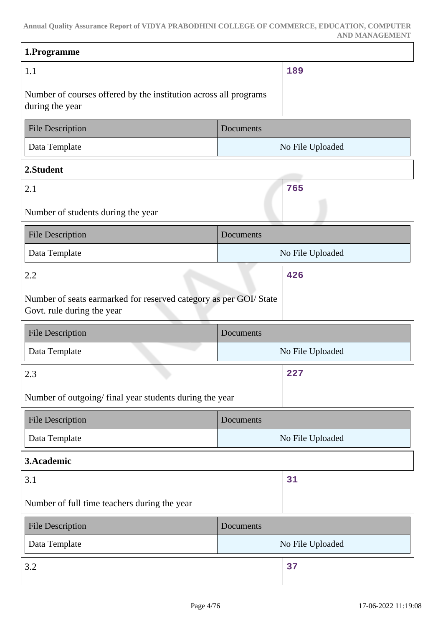| 1.Programme                                                                                    |           |                  |
|------------------------------------------------------------------------------------------------|-----------|------------------|
| 1.1                                                                                            |           | 189              |
| Number of courses offered by the institution across all programs<br>during the year            |           |                  |
| <b>File Description</b>                                                                        | Documents |                  |
| Data Template                                                                                  |           | No File Uploaded |
| 2.Student                                                                                      |           |                  |
| 2.1                                                                                            |           | 765              |
| Number of students during the year                                                             |           |                  |
| <b>File Description</b>                                                                        | Documents |                  |
| Data Template                                                                                  |           | No File Uploaded |
| 2.2                                                                                            |           | 426              |
| Number of seats earmarked for reserved category as per GOI/State<br>Govt. rule during the year |           |                  |
| <b>File Description</b>                                                                        | Documents |                  |
| Data Template                                                                                  |           | No File Uploaded |
| 2.3<br>u,                                                                                      |           | 227              |
| Number of outgoing/final year students during the year                                         |           |                  |
| <b>File Description</b>                                                                        | Documents |                  |
| Data Template                                                                                  |           | No File Uploaded |
| 3.Academic                                                                                     |           |                  |
| 3.1                                                                                            |           | 31               |
| Number of full time teachers during the year                                                   |           |                  |
| <b>File Description</b>                                                                        | Documents |                  |
|                                                                                                |           |                  |
| Data Template                                                                                  |           | No File Uploaded |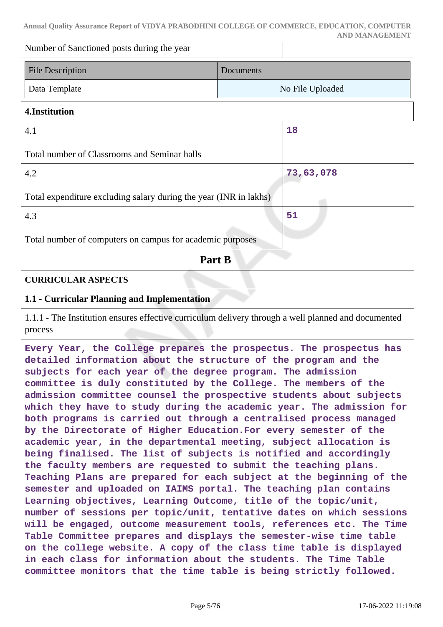Number of Sanctioned posts during the year

| <b>File Description</b> | <b>Documents</b> |
|-------------------------|------------------|
| Data Template           | No File Uploaded |

### **4.Institution**

| 4.1                                                               | 18        |
|-------------------------------------------------------------------|-----------|
| Total number of Classrooms and Seminar halls                      |           |
| 4.2                                                               | 73,63,078 |
| Total expenditure excluding salary during the year (INR in lakhs) |           |
| 4.3                                                               | 51        |
| Total number of computers on campus for academic purposes         |           |
| Part B                                                            |           |
| <b>CURRICULAR ASPECTS</b>                                         |           |

# **1.1 - Curricular Planning and Implementation**

1.1.1 - The Institution ensures effective curriculum delivery through a well planned and documented process

**Every Year, the College prepares the prospectus. The prospectus has detailed information about the structure of the program and the subjects for each year of the degree program. The admission committee is duly constituted by the College. The members of the admission committee counsel the prospective students about subjects which they have to study during the academic year. The admission for both programs is carried out through a centralised process managed by the Directorate of Higher Education.For every semester of the academic year, in the departmental meeting, subject allocation is being finalised. The list of subjects is notified and accordingly the faculty members are requested to submit the teaching plans. Teaching Plans are prepared for each subject at the beginning of the semester and uploaded on IAIMS portal. The teaching plan contains Learning objectives, Learning Outcome, title of the topic/unit, number of sessions per topic/unit, tentative dates on which sessions will be engaged, outcome measurement tools, references etc. The Time Table Committee prepares and displays the semester-wise time table on the college website. A copy of the class time table is displayed in each class for information about the students. The Time Table committee monitors that the time table is being strictly followed.**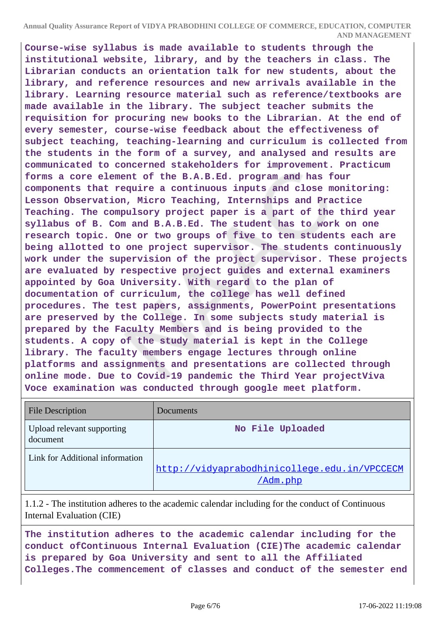**Course-wise syllabus is made available to students through the institutional website, library, and by the teachers in class. The Librarian conducts an orientation talk for new students, about the library, and reference resources and new arrivals available in the library. Learning resource material such as reference/textbooks are made available in the library. The subject teacher submits the requisition for procuring new books to the Librarian. At the end of every semester, course-wise feedback about the effectiveness of subject teaching, teaching-learning and curriculum is collected from the students in the form of a survey, and analysed and results are communicated to concerned stakeholders for improvement. Practicum forms a core element of the B.A.B.Ed. program and has four components that require a continuous inputs and close monitoring: Lesson Observation, Micro Teaching, Internships and Practice Teaching. The compulsory project paper is a part of the third year syllabus of B. Com and B.A.B.Ed. The student has to work on one research topic. One or two groups of five to ten students each are being allotted to one project supervisor. The students continuously work under the supervision of the project supervisor. These projects are evaluated by respective project guides and external examiners appointed by Goa University. With regard to the plan of documentation of curriculum, the college has well defined procedures. The test papers, assignments, PowerPoint presentations are preserved by the College. In some subjects study material is prepared by the Faculty Members and is being provided to the students. A copy of the study material is kept in the College library. The faculty members engage lectures through online platforms and assignments and presentations are collected through online mode. Due to Covid-19 pandemic the Third Year projectViva Voce examination was conducted through google meet platform.**

| <b>File Description</b>                | Documents                                                |
|----------------------------------------|----------------------------------------------------------|
| Upload relevant supporting<br>document | No File Uploaded                                         |
| Link for Additional information        | http://vidyaprabodhinicollege.edu.in/VPCCECM<br>/Adm.php |

1.1.2 - The institution adheres to the academic calendar including for the conduct of Continuous Internal Evaluation (CIE)

**The institution adheres to the academic calendar including for the conduct ofContinuous Internal Evaluation (CIE)The academic calendar is prepared by Goa University and sent to all the Affiliated Colleges.The commencement of classes and conduct of the semester end**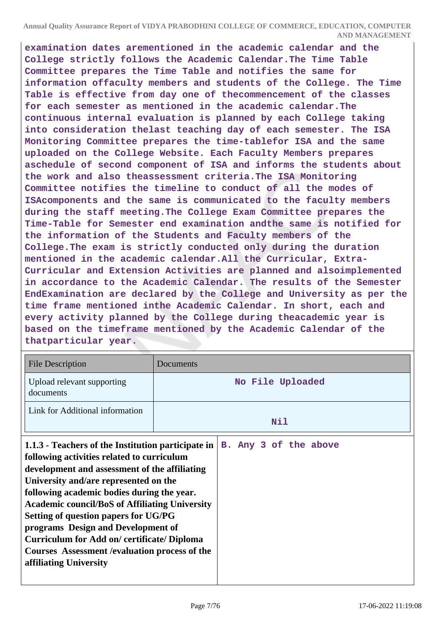**examination dates arementioned in the academic calendar and the College strictly follows the Academic Calendar.The Time Table Committee prepares the Time Table and notifies the same for information offaculty members and students of the College. The Time Table is effective from day one of thecommencement of the classes for each semester as mentioned in the academic calendar.The continuous internal evaluation is planned by each College taking into consideration thelast teaching day of each semester. The ISA Monitoring Committee prepares the time-tablefor ISA and the same uploaded on the College Website. Each Faculty Members prepares aschedule of second component of ISA and informs the students about the work and also theassessment criteria.The ISA Monitoring Committee notifies the timeline to conduct of all the modes of ISAcomponents and the same is communicated to the faculty members during the staff meeting.The College Exam Committee prepares the Time-Table for Semester end examination andthe same is notified for the information of the Students and Faculty members of the College.The exam is strictly conducted only during the duration mentioned in the academic calendar.All the Curricular, Extra-Curricular and Extension Activities are planned and alsoimplemented in accordance to the Academic Calendar. The results of the Semester EndExamination are declared by the College and University as per the time frame mentioned inthe Academic Calendar. In short, each and every activity planned by the College during theacademic year is based on the timeframe mentioned by the Academic Calendar of the thatparticular year.**

| <b>File Description</b>                                                                                                                                                                                                                                                                                                                                                                                                                                                                                                | Documents             |  |  |
|------------------------------------------------------------------------------------------------------------------------------------------------------------------------------------------------------------------------------------------------------------------------------------------------------------------------------------------------------------------------------------------------------------------------------------------------------------------------------------------------------------------------|-----------------------|--|--|
| Upload relevant supporting<br>documents                                                                                                                                                                                                                                                                                                                                                                                                                                                                                | No File Uploaded      |  |  |
| Link for Additional information                                                                                                                                                                                                                                                                                                                                                                                                                                                                                        | Nil                   |  |  |
| 1.1.3 - Teachers of the Institution participate in<br>following activities related to curriculum<br>development and assessment of the affiliating<br>University and/are represented on the<br>following academic bodies during the year.<br><b>Academic council/BoS of Affiliating University</b><br>Setting of question papers for UG/PG<br>programs Design and Development of<br><b>Curriculum for Add on/certificate/Diploma</b><br><b>Courses Assessment / evaluation process of the</b><br>affiliating University | B. Any 3 of the above |  |  |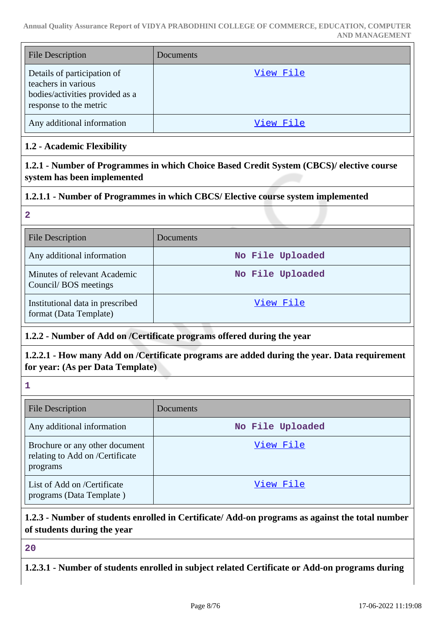| <b>File Description</b>                                                                                         | Documents |
|-----------------------------------------------------------------------------------------------------------------|-----------|
| Details of participation of<br>teachers in various<br>bodies/activities provided as a<br>response to the metric | View File |
| Any additional information                                                                                      | View File |

# **1.2 - Academic Flexibility**

**1.2.1 - Number of Programmes in which Choice Based Credit System (CBCS)/ elective course system has been implemented**

# **1.2.1.1 - Number of Programmes in which CBCS/ Elective course system implemented**

#### **2**

| <b>File Description</b>                                    | Documents        |
|------------------------------------------------------------|------------------|
| Any additional information                                 | No File Uploaded |
| Minutes of relevant Academic<br>Council/BOS meetings       | No File Uploaded |
| Institutional data in prescribed<br>format (Data Template) | View File        |

# **1.2.2 - Number of Add on /Certificate programs offered during the year**

**1.2.2.1 - How many Add on /Certificate programs are added during the year. Data requirement for year: (As per Data Template)**

**1**

| <b>File Description</b>                                                       | <b>Documents</b> |
|-------------------------------------------------------------------------------|------------------|
| Any additional information                                                    | No File Uploaded |
| Brochure or any other document<br>relating to Add on /Certificate<br>programs | View File        |
| List of Add on /Certificate<br>programs (Data Template)                       | View File        |

# **1.2.3 - Number of students enrolled in Certificate/ Add-on programs as against the total number of students during the year**

**20**

**1.2.3.1 - Number of students enrolled in subject related Certificate or Add-on programs during**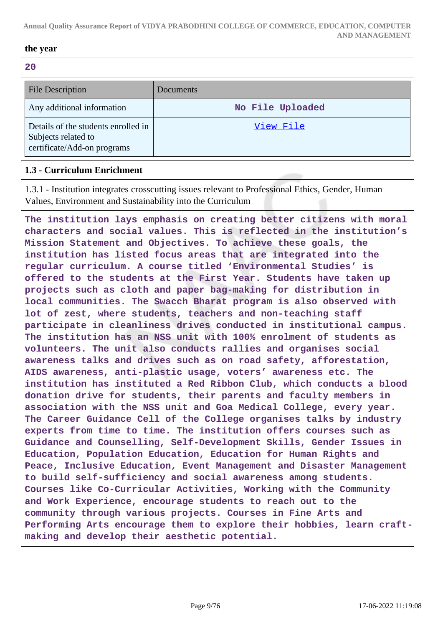#### **the year**

**20**

| 2 U                                                                                       |                  |
|-------------------------------------------------------------------------------------------|------------------|
| <b>File Description</b>                                                                   | Documents        |
| Any additional information                                                                | No File Uploaded |
| Details of the students enrolled in<br>Subjects related to<br>certificate/Add-on programs | View File        |

### **1.3 - Curriculum Enrichment**

1.3.1 - Institution integrates crosscutting issues relevant to Professional Ethics, Gender, Human Values, Environment and Sustainability into the Curriculum

**The institution lays emphasis on creating better citizens with moral characters and social values. This is reflected in the institution's Mission Statement and Objectives. To achieve these goals, the institution has listed focus areas that are integrated into the regular curriculum. A course titled 'Environmental Studies' is offered to the students at the First Year. Students have taken up projects such as cloth and paper bag-making for distribution in local communities. The Swacch Bharat program is also observed with lot of zest, where students, teachers and non-teaching staff participate in cleanliness drives conducted in institutional campus. The institution has an NSS unit with 100% enrolment of students as volunteers. The unit also conducts rallies and organises social awareness talks and drives such as on road safety, afforestation, AIDS awareness, anti-plastic usage, voters' awareness etc. The institution has instituted a Red Ribbon Club, which conducts a blood donation drive for students, their parents and faculty members in association with the NSS unit and Goa Medical College, every year. The Career Guidance Cell of the College organises talks by industry experts from time to time. The institution offers courses such as Guidance and Counselling, Self-Development Skills, Gender Issues in Education, Population Education, Education for Human Rights and Peace, Inclusive Education, Event Management and Disaster Management to build self-sufficiency and social awareness among students. Courses like Co-Curricular Activities, Working with the Community and Work Experience, encourage students to reach out to the community through various projects. Courses in Fine Arts and Performing Arts encourage them to explore their hobbies, learn craftmaking and develop their aesthetic potential.**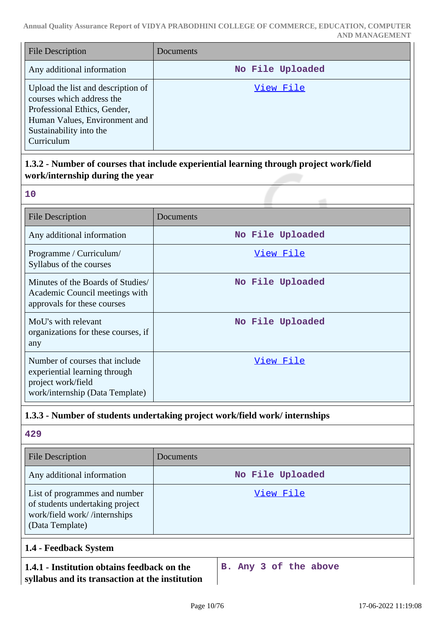| <b>File Description</b>                                                                                                                                                   | Documents        |
|---------------------------------------------------------------------------------------------------------------------------------------------------------------------------|------------------|
| Any additional information                                                                                                                                                | No File Uploaded |
| Upload the list and description of<br>courses which address the<br>Professional Ethics, Gender,<br>Human Values, Environment and<br>Sustainability into the<br>Curriculum | View File        |

# **1.3.2 - Number of courses that include experiential learning through project work/field work/internship during the year**

| w       |
|---------|
|         |
|         |
| I<br>M. |

| <b>File Description</b>                                                                                                  | Documents        |
|--------------------------------------------------------------------------------------------------------------------------|------------------|
| Any additional information                                                                                               | No File Uploaded |
| Programme / Curriculum/<br>Syllabus of the courses                                                                       | View File        |
| Minutes of the Boards of Studies/<br>Academic Council meetings with<br>approvals for these courses                       | No File Uploaded |
| MoU's with relevant<br>organizations for these courses, if<br>any                                                        | No File Uploaded |
| Number of courses that include<br>experiential learning through<br>project work/field<br>work/internship (Data Template) | View File        |

# **1.3.3 - Number of students undertaking project work/field work/ internships**

**429**

| <b>File Description</b>                                                                                             | Documents        |
|---------------------------------------------------------------------------------------------------------------------|------------------|
| Any additional information                                                                                          | No File Uploaded |
| List of programmes and number<br>of students undertaking project<br>work/field work//internships<br>(Data Template) | View File        |
| 1.4 - Feedback System                                                                                               |                  |

# **1.4.1 - Institution obtains feedback on the syllabus and its transaction at the institution**

**B. Any 3 of the above**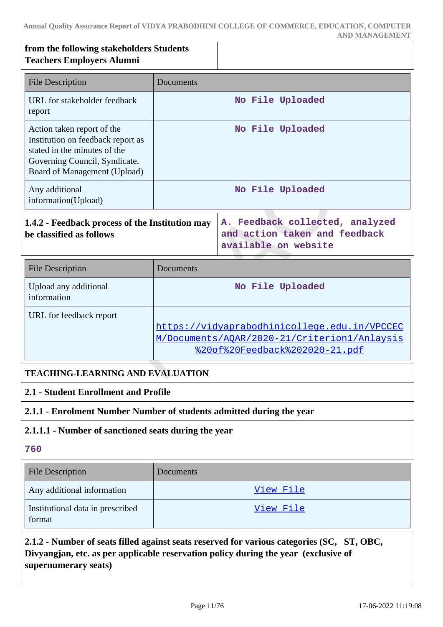### **from the following stakeholders Students Teachers Employers Alumni**

| <b>File Description</b>                                                                                                                                          | Documents                               |                                                                                                                                        |
|------------------------------------------------------------------------------------------------------------------------------------------------------------------|-----------------------------------------|----------------------------------------------------------------------------------------------------------------------------------------|
| URL for stakeholder feedback<br>report                                                                                                                           | No File Uploaded                        |                                                                                                                                        |
| Action taken report of the<br>Institution on feedback report as<br>stated in the minutes of the<br>Governing Council, Syndicate,<br>Board of Management (Upload) |                                         | No File Uploaded                                                                                                                       |
| Any additional<br>information(Upload)                                                                                                                            |                                         | No File Uploaded                                                                                                                       |
| 1.4.2 - Feedback process of the Institution may<br>be classified as follows                                                                                      |                                         | A. Feedback collected, analyzed<br>and action taken and feedback<br>available on website                                               |
| <b>File Description</b>                                                                                                                                          | Documents                               |                                                                                                                                        |
| Upload any additional<br>information                                                                                                                             |                                         | No File Uploaded                                                                                                                       |
| URL for feedback report                                                                                                                                          |                                         | https://vidyaprabodhinicollege.edu.in/VPCCEC<br>M/Documents/AQAR/2020-21/Criterion1/Anlaysis<br><u> %20of%20Feedback%202020-21.pdf</u> |
|                                                                                                                                                                  | <b>TEACHING-LEARNING AND EVALUATION</b> |                                                                                                                                        |
| 2.1 - Student Enrollment and Profile                                                                                                                             |                                         |                                                                                                                                        |

# **2.1.1 - Enrolment Number Number of students admitted during the year**

# **2.1.1.1 - Number of sanctioned seats during the year**

#### **760**

| <b>File Description</b>                    | <b>Documents</b> |
|--------------------------------------------|------------------|
| Any additional information                 | View File        |
| Institutional data in prescribed<br>format | View File        |

**2.1.2 - Number of seats filled against seats reserved for various categories (SC, ST, OBC, Divyangjan, etc. as per applicable reservation policy during the year (exclusive of supernumerary seats)**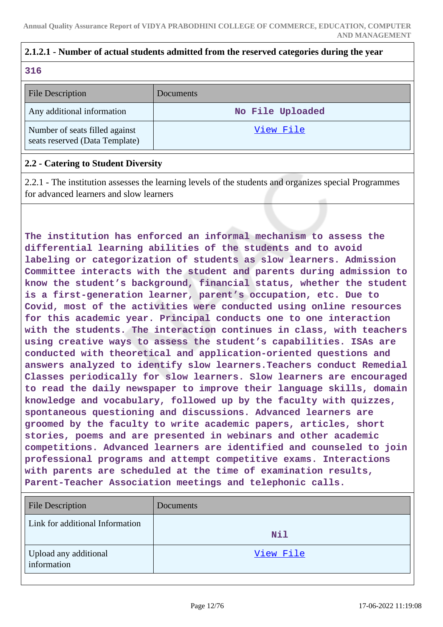# **2.1.2.1 - Number of actual students admitted from the reserved categories during the year**

### **316**

| <b>File Description</b>                                          | Documents        |
|------------------------------------------------------------------|------------------|
| Any additional information                                       | No File Uploaded |
| Number of seats filled against<br>seats reserved (Data Template) | View File        |

### **2.2 - Catering to Student Diversity**

2.2.1 - The institution assesses the learning levels of the students and organizes special Programmes for advanced learners and slow learners

**The institution has enforced an informal mechanism to assess the differential learning abilities of the students and to avoid labeling or categorization of students as slow learners. Admission Committee interacts with the student and parents during admission to know the student's background, financial status, whether the student is a first-generation learner, parent's occupation, etc. Due to Covid, most of the activities were conducted using online resources for this academic year. Principal conducts one to one interaction with the students. The interaction continues in class, with teachers using creative ways to assess the student's capabilities. ISAs are conducted with theoretical and application-oriented questions and answers analyzed to identify slow learners.Teachers conduct Remedial Classes periodically for slow learners. Slow learners are encouraged to read the daily newspaper to improve their language skills, domain knowledge and vocabulary, followed up by the faculty with quizzes, spontaneous questioning and discussions. Advanced learners are groomed by the faculty to write academic papers, articles, short stories, poems and are presented in webinars and other academic competitions. Advanced learners are identified and counseled to join professional programs and attempt competitive exams. Interactions with parents are scheduled at the time of examination results, Parent-Teacher Association meetings and telephonic calls.**

| <b>File Description</b>              | Documents |
|--------------------------------------|-----------|
| Link for additional Information      | Nil       |
| Upload any additional<br>information | View File |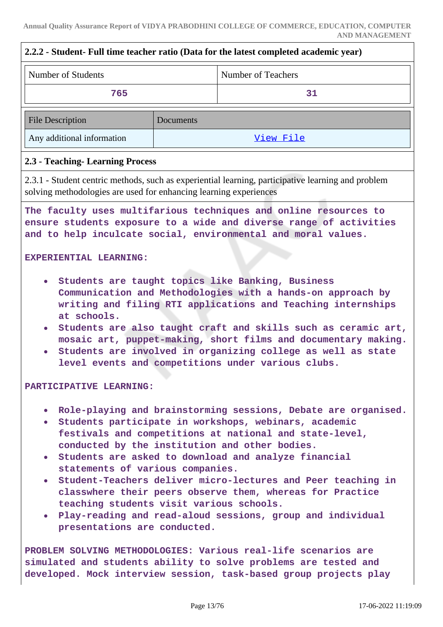| 2.2.2 - Student- Full time teacher ratio (Data for the latest completed academic year)                                                                                                                                                                                                                                                                                                                                                                                                                                                                                                                                                                                              |           |                                                                                                    |
|-------------------------------------------------------------------------------------------------------------------------------------------------------------------------------------------------------------------------------------------------------------------------------------------------------------------------------------------------------------------------------------------------------------------------------------------------------------------------------------------------------------------------------------------------------------------------------------------------------------------------------------------------------------------------------------|-----------|----------------------------------------------------------------------------------------------------|
| Number of Students                                                                                                                                                                                                                                                                                                                                                                                                                                                                                                                                                                                                                                                                  |           | <b>Number of Teachers</b>                                                                          |
| 765                                                                                                                                                                                                                                                                                                                                                                                                                                                                                                                                                                                                                                                                                 |           | 31                                                                                                 |
| <b>File Description</b>                                                                                                                                                                                                                                                                                                                                                                                                                                                                                                                                                                                                                                                             | Documents |                                                                                                    |
| Any additional information                                                                                                                                                                                                                                                                                                                                                                                                                                                                                                                                                                                                                                                          |           | View File                                                                                          |
| 2.3 - Teaching - Learning Process                                                                                                                                                                                                                                                                                                                                                                                                                                                                                                                                                                                                                                                   |           |                                                                                                    |
| solving methodologies are used for enhancing learning experiences                                                                                                                                                                                                                                                                                                                                                                                                                                                                                                                                                                                                                   |           | 2.3.1 - Student centric methods, such as experiential learning, participative learning and problem |
| The faculty uses multifarious techniques and online resources to<br>ensure students exposure to a wide and diverse range of activities<br>and to help inculcate social, environmental and moral values.                                                                                                                                                                                                                                                                                                                                                                                                                                                                             |           |                                                                                                    |
| Students are taught topics like Banking, Business<br>Communication and Methodologies with a hands-on approach by<br>writing and filing RTI applications and Teaching internships<br>at schools.<br>Students are also taught craft and skills such as ceramic art,<br>$\bullet$<br>mosaic art, puppet-making, short films and documentary making.<br>Students are involved in organizing college as well as state<br>$\bullet$<br>level events and competitions under various clubs.<br>PARTICIPATIVE LEARNING:                                                                                                                                                                      |           |                                                                                                    |
| . Role-playing and brainstorming sessions, Debate are organised.<br>· Students participate in workshops, webinars, academic<br>festivals and competitions at national and state-level,<br>conducted by the institution and other bodies.<br>• Students are asked to download and analyze financial<br>statements of various companies.<br>• Student-Teachers deliver micro-lectures and Peer teaching in<br>classwhere their peers observe them, whereas for Practice<br>teaching students visit various schools.<br>. Play-reading and read-aloud sessions, group and individual<br>presentations are conducted.<br>PROBLEM SOLVING METHODOLOGIES: Various real-life scenarios are |           |                                                                                                    |
| simulated and students ability to solve problems are tested and<br>developed. Mock interview session, task-based group projects play                                                                                                                                                                                                                                                                                                                                                                                                                                                                                                                                                |           |                                                                                                    |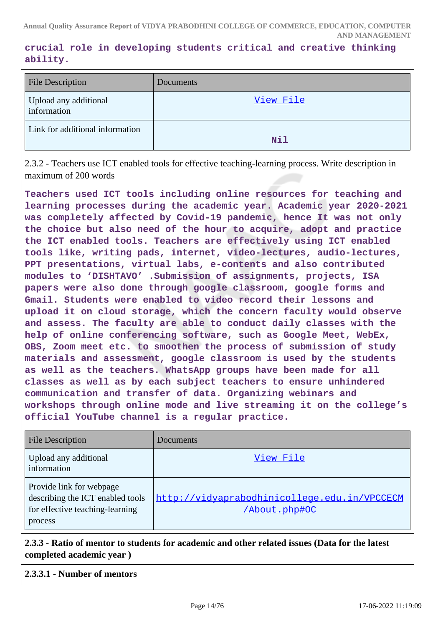**crucial role in developing students critical and creative thinking ability.**

| <b>File Description</b>              | Documents |
|--------------------------------------|-----------|
| Upload any additional<br>information | View File |
| Link for additional information      | Nil       |

2.3.2 - Teachers use ICT enabled tools for effective teaching-learning process. Write description in maximum of 200 words

**Teachers used ICT tools including online resources for teaching and learning processes during the academic year. Academic year 2020-2021 was completely affected by Covid-19 pandemic, hence It was not only the choice but also need of the hour to acquire, adopt and practice the ICT enabled tools. Teachers are effectively using ICT enabled tools like, writing pads, internet, video-lectures, audio-lectures, PPT presentations, virtual labs, e-contents and also contributed modules to 'DISHTAVO' .Submission of assignments, projects, ISA papers were also done through google classroom, google forms and Gmail. Students were enabled to video record their lessons and upload it on cloud storage, which the concern faculty would observe and assess. The faculty are able to conduct daily classes with the help of online conferencing software, such as Google Meet, WebEx, OBS, Zoom meet etc. to smoothen the process of submission of study materials and assessment, google classroom is used by the students as well as the teachers. WhatsApp groups have been made for all classes as well as by each subject teachers to ensure unhindered communication and transfer of data. Organizing webinars and workshops through online mode and live streaming it on the college's official YouTube channel is a regular practice.**

| <b>File Description</b>                                                                                    | Documents                                                     |
|------------------------------------------------------------------------------------------------------------|---------------------------------------------------------------|
| Upload any additional<br>information                                                                       | View File                                                     |
| Provide link for webpage<br>describing the ICT enabled tools<br>for effective teaching-learning<br>process | http://vidyaprabodhinicollege.edu.in/VPCCECM<br>/About.php#OC |

**2.3.3 - Ratio of mentor to students for academic and other related issues (Data for the latest completed academic year )**

### **2.3.3.1 - Number of mentors**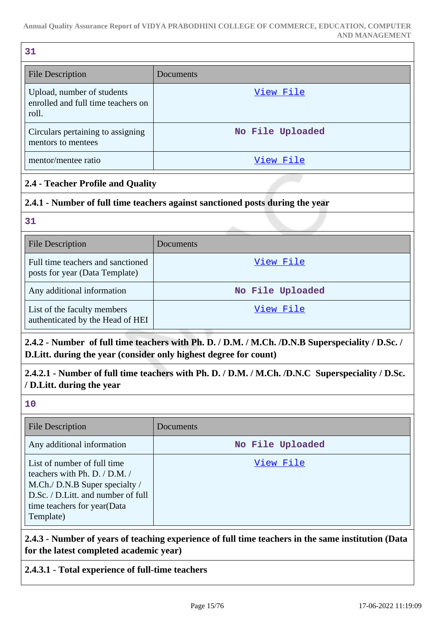| 31                                                                        |                  |
|---------------------------------------------------------------------------|------------------|
| <b>File Description</b>                                                   | Documents        |
| Upload, number of students<br>enrolled and full time teachers on<br>roll. | View File        |
| Circulars pertaining to assigning<br>mentors to mentees                   | No File Uploaded |
| mentor/mentee ratio                                                       | View File        |

# **2.4 - Teacher Profile and Quality**

### **2.4.1 - Number of full time teachers against sanctioned posts during the year**

**31**

| <b>File Description</b>                                             | Documents        |
|---------------------------------------------------------------------|------------------|
| Full time teachers and sanctioned<br>posts for year (Data Template) | View File        |
| Any additional information                                          | No File Uploaded |
| List of the faculty members<br>authenticated by the Head of HEI     | View File        |

# **2.4.2 - Number of full time teachers with Ph. D. / D.M. / M.Ch. /D.N.B Superspeciality / D.Sc. / D.Litt. during the year (consider only highest degree for count)**

**2.4.2.1 - Number of full time teachers with Ph. D. / D.M. / M.Ch. /D.N.C Superspeciality / D.Sc. / D.Litt. during the year**

**10**

| <b>File Description</b>                                                                                                                                                          | Documents        |
|----------------------------------------------------------------------------------------------------------------------------------------------------------------------------------|------------------|
| Any additional information                                                                                                                                                       | No File Uploaded |
| List of number of full time<br>teachers with Ph. D. / D.M. /<br>M.Ch./ D.N.B Super specialty /<br>D.Sc. / D.Litt. and number of full<br>time teachers for year(Data<br>Template) | View File        |

**2.4.3 - Number of years of teaching experience of full time teachers in the same institution (Data for the latest completed academic year)**

# **2.4.3.1 - Total experience of full-time teachers**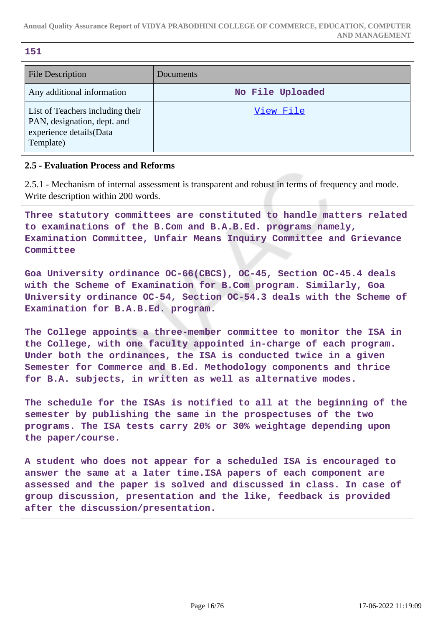| e e | ۰.               |  |
|-----|------------------|--|
|     | ×<br>o esta<br>w |  |

| <b>File Description</b>                                                                                 | Documents        |
|---------------------------------------------------------------------------------------------------------|------------------|
| Any additional information                                                                              | No File Uploaded |
| List of Teachers including their<br>PAN, designation, dept. and<br>experience details(Data<br>Template) | View File        |

### **2.5 - Evaluation Process and Reforms**

2.5.1 - Mechanism of internal assessment is transparent and robust in terms of frequency and mode. Write description within 200 words.

**Three statutory committees are constituted to handle matters related to examinations of the B.Com and B.A.B.Ed. programs namely, Examination Committee, Unfair Means Inquiry Committee and Grievance Committee**

**Goa University ordinance OC-66(CBCS), OC-45, Section OC-45.4 deals with the Scheme of Examination for B.Com program. Similarly, Goa University ordinance OC-54, Section OC-54.3 deals with the Scheme of Examination for B.A.B.Ed. program.**

**The College appoints a three-member committee to monitor the ISA in the College, with one faculty appointed in-charge of each program. Under both the ordinances, the ISA is conducted twice in a given Semester for Commerce and B.Ed. Methodology components and thrice for B.A. subjects, in written as well as alternative modes.**

**The schedule for the ISAs is notified to all at the beginning of the semester by publishing the same in the prospectuses of the two programs. The ISA tests carry 20% or 30% weightage depending upon the paper/course.**

**A student who does not appear for a scheduled ISA is encouraged to answer the same at a later time.ISA papers of each component are assessed and the paper is solved and discussed in class. In case of group discussion, presentation and the like, feedback is provided after the discussion/presentation.**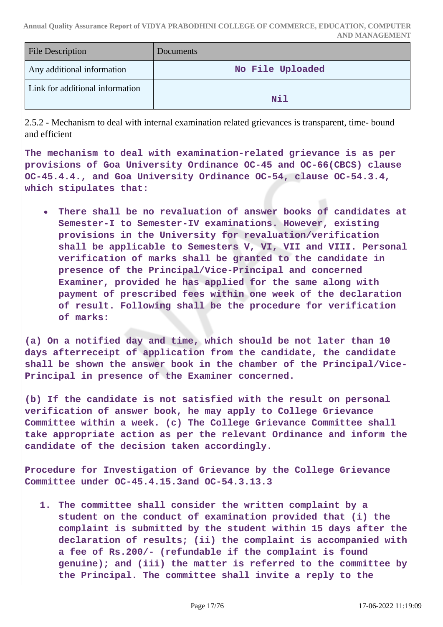| <b>File Description</b>         | <b>Documents</b> |
|---------------------------------|------------------|
| Any additional information      | No File Uploaded |
| Link for additional information | Nil              |

2.5.2 - Mechanism to deal with internal examination related grievances is transparent, time- bound and efficient

**The mechanism to deal with examination-related grievance is as per provisions of Goa University Ordinance OC-45 and OC-66(CBCS) clause OC-45.4.4., and Goa University Ordinance OC-54, clause OC-54.3.4, which stipulates that:**

**There shall be no revaluation of answer books of candidates at Semester-I to Semester-IV examinations. However, existing provisions in the University for revaluation/verification shall be applicable to Semesters V, VI, VII and VIII. Personal verification of marks shall be granted to the candidate in presence of the Principal/Vice-Principal and concerned Examiner, provided he has applied for the same along with payment of prescribed fees within one week of the declaration of result. Following shall be the procedure for verification of marks:**

**(a) On a notified day and time, which should be not later than 10 days afterreceipt of application from the candidate, the candidate shall be shown the answer book in the chamber of the Principal/Vice-Principal in presence of the Examiner concerned.**

**(b) If the candidate is not satisfied with the result on personal verification of answer book, he may apply to College Grievance Committee within a week. (c) The College Grievance Committee shall take appropriate action as per the relevant Ordinance and inform the candidate of the decision taken accordingly.**

**Procedure for Investigation of Grievance by the College Grievance Committee under OC-45.4.15.3and OC-54.3.13.3** 

**1. The committee shall consider the written complaint by a student on the conduct of examination provided that (i) the complaint is submitted by the student within 15 days after the declaration of results; (ii) the complaint is accompanied with a fee of Rs.200/- (refundable if the complaint is found genuine); and (iii) the matter is referred to the committee by the Principal. The committee shall invite a reply to the**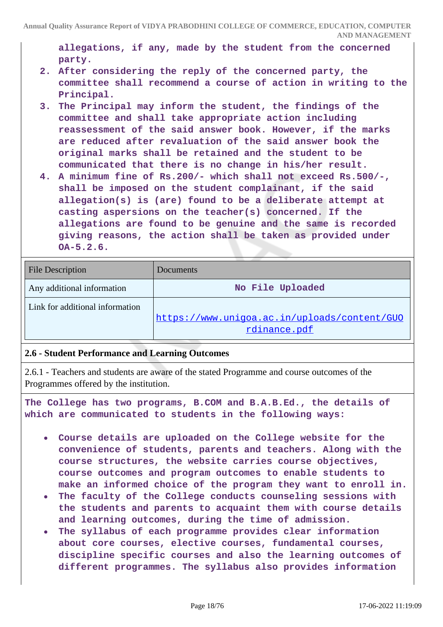**allegations, if any, made by the student from the concerned party.**

- **2. After considering the reply of the concerned party, the committee shall recommend a course of action in writing to the Principal.**
- **3. The Principal may inform the student, the findings of the committee and shall take appropriate action including reassessment of the said answer book. However, if the marks are reduced after revaluation of the said answer book the original marks shall be retained and the student to be communicated that there is no change in his/her result.**
- **4. A minimum fine of Rs.200/- which shall not exceed Rs.500/-, shall be imposed on the student complainant, if the said allegation(s) is (are) found to be a deliberate attempt at casting aspersions on the teacher(s) concerned. If the allegations are found to be genuine and the same is recorded giving reasons, the action shall be taken as provided under OA-5.2.6.**

| <b>File Description</b>         | Documents                                                    |
|---------------------------------|--------------------------------------------------------------|
| Any additional information      | No File Uploaded                                             |
| Link for additional information | https://www.uniqoa.ac.in/uploads/content/GUO<br>rdinance.pdf |

### **2.6 - Student Performance and Learning Outcomes**

2.6.1 - Teachers and students are aware of the stated Programme and course outcomes of the Programmes offered by the institution.

**The College has two programs, B.COM and B.A.B.Ed., the details of which are communicated to students in the following ways:**

- **Course details are uploaded on the College website for the convenience of students, parents and teachers. Along with the course structures, the website carries course objectives, course outcomes and program outcomes to enable students to make an informed choice of the program they want to enroll in.**
- **The faculty of the College conducts counseling sessions with**  $\bullet$ **the students and parents to acquaint them with course details and learning outcomes, during the time of admission.**
- **The syllabus of each programme provides clear information about core courses, elective courses, fundamental courses, discipline specific courses and also the learning outcomes of different programmes. The syllabus also provides information**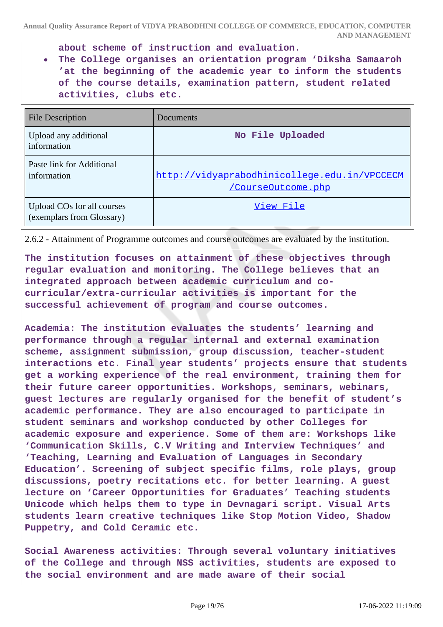**about scheme of instruction and evaluation.**

**The College organises an orientation program 'Diksha Samaaroh 'at the beginning of the academic year to inform the students of the course details, examination pattern, student related activities, clubs etc.**

| File Description                                        | Documents                                                          |
|---------------------------------------------------------|--------------------------------------------------------------------|
| Upload any additional<br>information                    | No File Uploaded                                                   |
| Paste link for Additional<br>information                | http://vidyaprabodhinicollege.edu.in/VPCCECM<br>/CourseOutcome.php |
| Upload COs for all courses<br>(exemplars from Glossary) | View File                                                          |

2.6.2 - Attainment of Programme outcomes and course outcomes are evaluated by the institution.

**The institution focuses on attainment of these objectives through regular evaluation and monitoring. The College believes that an integrated approach between academic curriculum and cocurricular/extra-curricular activities is important for the successful achievement of program and course outcomes.**

**Academia: The institution evaluates the students' learning and performance through a regular internal and external examination scheme, assignment submission, group discussion, teacher-student interactions etc. Final year students' projects ensure that students get a working experience of the real environment, training them for their future career opportunities. Workshops, seminars, webinars, guest lectures are regularly organised for the benefit of student's academic performance. They are also encouraged to participate in student seminars and workshop conducted by other Colleges for academic exposure and experience. Some of them are: Workshops like 'Communication Skills, C.V Writing and Interview Techniques' and 'Teaching, Learning and Evaluation of Languages in Secondary Education'. Screening of subject specific films, role plays, group discussions, poetry recitations etc. for better learning. A guest lecture on 'Career Opportunities for Graduates' Teaching students Unicode which helps them to type in Devnagari script. Visual Arts students learn creative techniques like Stop Motion Video, Shadow Puppetry, and Cold Ceramic etc.**

**Social Awareness activities: Through several voluntary initiatives of the College and through NSS activities, students are exposed to the social environment and are made aware of their social**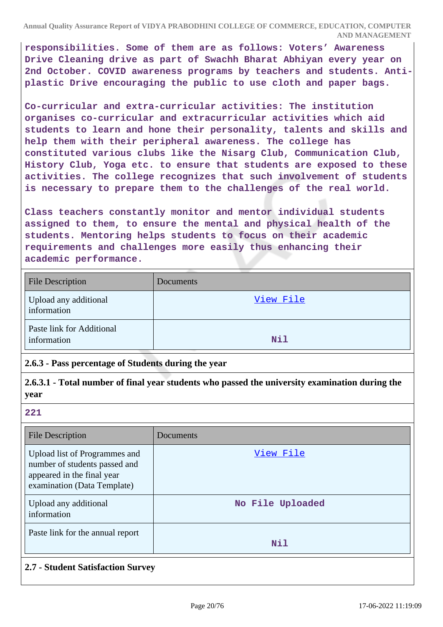**responsibilities. Some of them are as follows: Voters' Awareness Drive Cleaning drive as part of Swachh Bharat Abhiyan every year on 2nd October. COVID awareness programs by teachers and students. Antiplastic Drive encouraging the public to use cloth and paper bags.**

**Co-curricular and extra-curricular activities: The institution organises co-curricular and extracurricular activities which aid students to learn and hone their personality, talents and skills and help them with their peripheral awareness. The college has constituted various clubs like the Nisarg Club, Communication Club, History Club, Yoga etc. to ensure that students are exposed to these activities. The college recognizes that such involvement of students is necessary to prepare them to the challenges of the real world.**

**Class teachers constantly monitor and mentor individual students assigned to them, to ensure the mental and physical health of the students. Mentoring helps students to focus on their academic requirements and challenges more easily thus enhancing their academic performance.**

| <b>File Description</b>                  | Documents |
|------------------------------------------|-----------|
| Upload any additional<br>information     | View File |
| Paste link for Additional<br>information | Nil       |

### **2.6.3 - Pass percentage of Students during the year**

**2.6.3.1 - Total number of final year students who passed the university examination during the year**

**221**

| File Description                                                                                                            | Documents        |
|-----------------------------------------------------------------------------------------------------------------------------|------------------|
| Upload list of Programmes and<br>number of students passed and<br>appeared in the final year<br>examination (Data Template) | View File        |
| Upload any additional<br>information                                                                                        | No File Uploaded |
| Paste link for the annual report                                                                                            | Nil              |

### **2.7 - Student Satisfaction Survey**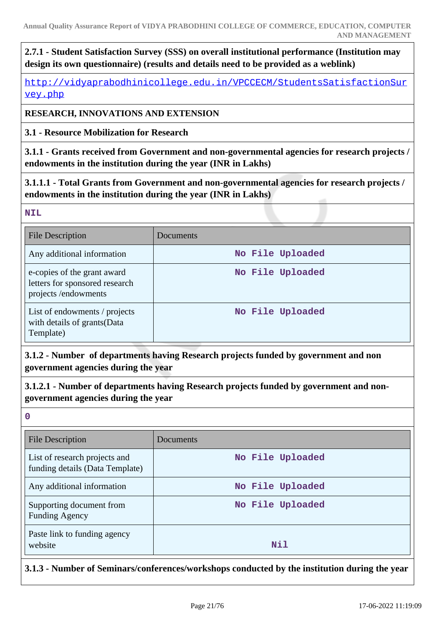# **2.7.1 - Student Satisfaction Survey (SSS) on overall institutional performance (Institution may design its own questionnaire) (results and details need to be provided as a weblink)**

[http://vidyaprabodhinicollege.edu.in/VPCCECM/StudentsSatisfactionSur](http://vidyaprabodhinicollege.edu.in/VPCCECM/StudentsSatisfactionSurvey.php) [vey.php](http://vidyaprabodhinicollege.edu.in/VPCCECM/StudentsSatisfactionSurvey.php)

# **RESEARCH, INNOVATIONS AND EXTENSION**

**3.1 - Resource Mobilization for Research**

**3.1.1 - Grants received from Government and non-governmental agencies for research projects / endowments in the institution during the year (INR in Lakhs)**

**3.1.1.1 - Total Grants from Government and non-governmental agencies for research projects / endowments in the institution during the year (INR in Lakhs)**

### **NIL**

| <b>File Description</b>                                                              | Documents        |
|--------------------------------------------------------------------------------------|------------------|
| Any additional information                                                           | No File Uploaded |
| e-copies of the grant award<br>letters for sponsored research<br>projects/endowments | No File Uploaded |
| List of endowments / projects<br>with details of grants (Data<br>Template)           | No File Uploaded |

**3.1.2 - Number of departments having Research projects funded by government and non government agencies during the year**

**3.1.2.1 - Number of departments having Research projects funded by government and nongovernment agencies during the year**

**0**

| <b>File Description</b>                                          | Documents        |
|------------------------------------------------------------------|------------------|
| List of research projects and<br>funding details (Data Template) | No File Uploaded |
| Any additional information                                       | No File Uploaded |
| Supporting document from<br><b>Funding Agency</b>                | No File Uploaded |
| Paste link to funding agency<br>website                          | Nil              |

**3.1.3 - Number of Seminars/conferences/workshops conducted by the institution during the year**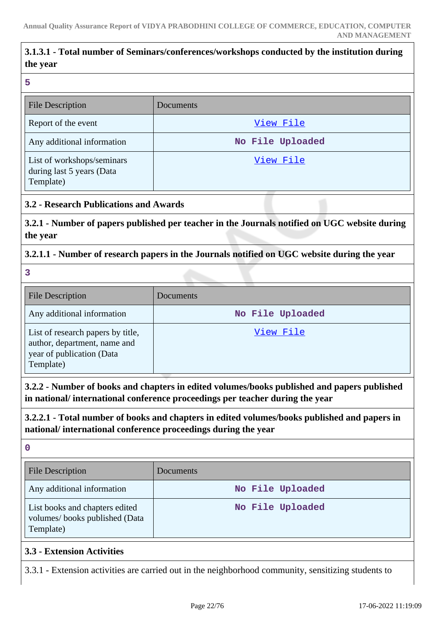# **3.1.3.1 - Total number of Seminars/conferences/workshops conducted by the institution during the year**

**5**

| <b>File Description</b>                                              | Documents        |
|----------------------------------------------------------------------|------------------|
| Report of the event                                                  | View File        |
| Any additional information                                           | No File Uploaded |
| List of workshops/seminars<br>during last 5 years (Data<br>Template) | View File        |

### **3.2 - Research Publications and Awards**

**3.2.1 - Number of papers published per teacher in the Journals notified on UGC website during the year**

### **3.2.1.1 - Number of research papers in the Journals notified on UGC website during the year**

**3**

| File Description                                                                                            | Documents        |
|-------------------------------------------------------------------------------------------------------------|------------------|
| Any additional information                                                                                  | No File Uploaded |
| List of research papers by title,<br>author, department, name and<br>year of publication (Data<br>Template) | View File        |

**3.2.2 - Number of books and chapters in edited volumes/books published and papers published in national/ international conference proceedings per teacher during the year**

**3.2.2.1 - Total number of books and chapters in edited volumes/books published and papers in national/ international conference proceedings during the year**

**0**

| <b>File Description</b>                                                      | Documents <sup>1</sup> |
|------------------------------------------------------------------------------|------------------------|
| Any additional information                                                   | No File Uploaded       |
| List books and chapters edited<br>volumes/books published (Data<br>Template) | No File Uploaded       |

### **3.3 - Extension Activities**

3.3.1 - Extension activities are carried out in the neighborhood community, sensitizing students to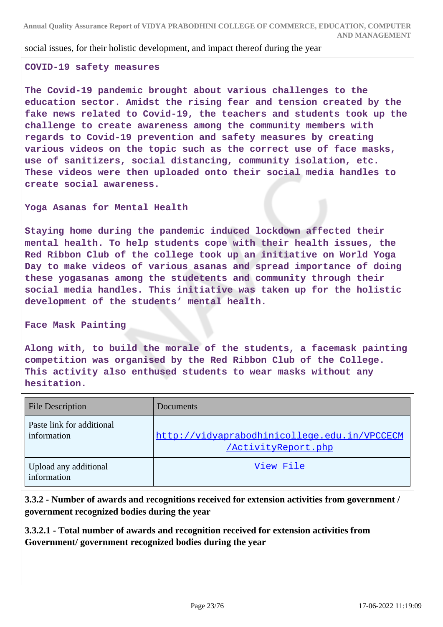#### social issues, for their holistic development, and impact thereof during the year

#### **COVID-19 safety measures**

**The Covid-19 pandemic brought about various challenges to the education sector. Amidst the rising fear and tension created by the fake news related to Covid-19, the teachers and students took up the challenge to create awareness among the community members with regards to Covid-19 prevention and safety measures by creating various videos on the topic such as the correct use of face masks, use of sanitizers, social distancing, community isolation, etc. These videos were then uploaded onto their social media handles to create social awareness.**

#### **Yoga Asanas for Mental Health**

**Staying home during the pandemic induced lockdown affected their mental health. To help students cope with their health issues, the Red Ribbon Club of the college took up an initiative on World Yoga Day to make videos of various asanas and spread importance of doing these yogasanas among the studetents and community through their social media handles. This initiative was taken up for the holistic development of the students' mental health.**

#### **Face Mask Painting**

**Along with, to build the morale of the students, a facemask painting competition was organised by the Red Ribbon Club of the College. This activity also enthused students to wear masks without any hesitation.**

| <b>File Description</b>                  | Documents                                                           |
|------------------------------------------|---------------------------------------------------------------------|
| Paste link for additional<br>information | http://vidyaprabodhinicollege.edu.in/VPCCECM<br>/ActivityReport.php |
| Upload any additional<br>information     | View File                                                           |

# **3.3.2 - Number of awards and recognitions received for extension activities from government / government recognized bodies during the year**

**3.3.2.1 - Total number of awards and recognition received for extension activities from Government/ government recognized bodies during the year**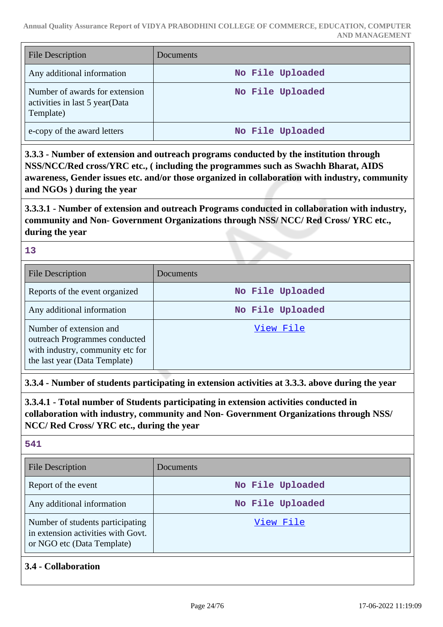| <b>File Description</b>                                                       | Documents        |
|-------------------------------------------------------------------------------|------------------|
| Any additional information                                                    | No File Uploaded |
| Number of awards for extension<br>activities in last 5 year(Data<br>Template) | No File Uploaded |
| e-copy of the award letters                                                   | No File Uploaded |

**3.3.3 - Number of extension and outreach programs conducted by the institution through NSS/NCC/Red cross/YRC etc., ( including the programmes such as Swachh Bharat, AIDS awareness, Gender issues etc. and/or those organized in collaboration with industry, community and NGOs ) during the year**

**3.3.3.1 - Number of extension and outreach Programs conducted in collaboration with industry, community and Non- Government Organizations through NSS/ NCC/ Red Cross/ YRC etc., during the year**

### **13**

| <b>File Description</b>                                                                                                       | Documents        |
|-------------------------------------------------------------------------------------------------------------------------------|------------------|
| Reports of the event organized                                                                                                | No File Uploaded |
| Any additional information                                                                                                    | No File Uploaded |
| Number of extension and<br>outreach Programmes conducted<br>with industry, community etc for<br>the last year (Data Template) | View File        |

**3.3.4 - Number of students participating in extension activities at 3.3.3. above during the year**

**3.3.4.1 - Total number of Students participating in extension activities conducted in collaboration with industry, community and Non- Government Organizations through NSS/ NCC/ Red Cross/ YRC etc., during the year**

# **541**

| <b>File Description</b>                                                                              | <b>Documents</b> |
|------------------------------------------------------------------------------------------------------|------------------|
| Report of the event                                                                                  | No File Uploaded |
| Any additional information                                                                           | No File Uploaded |
| Number of students participating<br>in extension activities with Govt.<br>or NGO etc (Data Template) | View File        |

# **3.4 - Collaboration**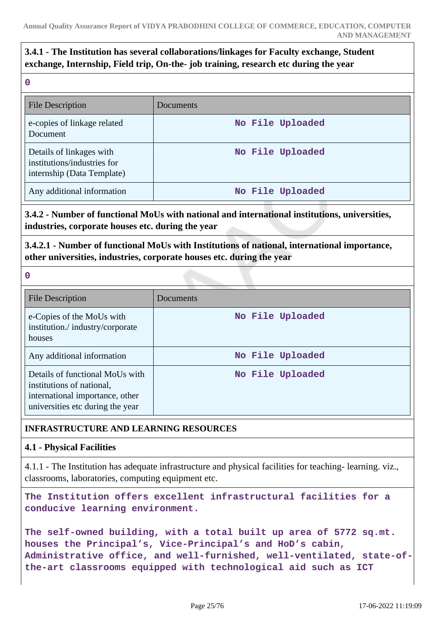# **3.4.1 - The Institution has several collaborations/linkages for Faculty exchange, Student exchange, Internship, Field trip, On-the- job training, research etc during the year**

**0**

| <b>File Description</b>                                                               | Documents        |
|---------------------------------------------------------------------------------------|------------------|
| e-copies of linkage related<br>Document                                               | No File Uploaded |
| Details of linkages with<br>institutions/industries for<br>internship (Data Template) | No File Uploaded |
| Any additional information                                                            | No File Uploaded |

# **3.4.2 - Number of functional MoUs with national and international institutions, universities, industries, corporate houses etc. during the year**

# **3.4.2.1 - Number of functional MoUs with Institutions of national, international importance, other universities, industries, corporate houses etc. during the year**

**0**

| <b>File Description</b>                                                                                                             | Documents        |
|-------------------------------------------------------------------------------------------------------------------------------------|------------------|
| e-Copies of the MoUs with<br>institution./industry/corporate<br>houses                                                              | No File Uploaded |
| Any additional information                                                                                                          | No File Uploaded |
| Details of functional MoUs with<br>institutions of national,<br>international importance, other<br>universities etc during the year | No File Uploaded |

# **INFRASTRUCTURE AND LEARNING RESOURCES**

# **4.1 - Physical Facilities**

4.1.1 - The Institution has adequate infrastructure and physical facilities for teaching- learning. viz., classrooms, laboratories, computing equipment etc.

**The Institution offers excellent infrastructural facilities for a conducive learning environment.**

```
The self-owned building, with a total built up area of 5772 sq.mt.
houses the Principal's, Vice-Principal's and HoD's cabin,
Administrative office, and well-furnished, well-ventilated, state-of-
the-art classrooms equipped with technological aid such as ICT
```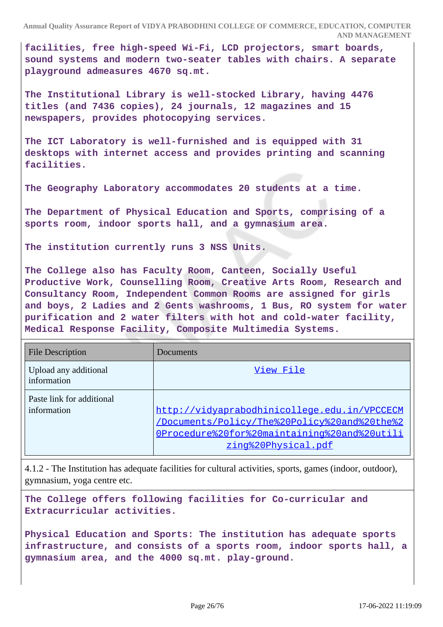**facilities, free high-speed Wi-Fi, LCD projectors, smart boards, sound systems and modern two-seater tables with chairs. A separate playground admeasures 4670 sq.mt.**

**The Institutional Library is well-stocked Library, having 4476 titles (and 7436 copies), 24 journals, 12 magazines and 15 newspapers, provides photocopying services.**

**The ICT Laboratory is well-furnished and is equipped with 31 desktops with internet access and provides printing and scanning facilities.**

**The Geography Laboratory accommodates 20 students at a time.**

**The Department of Physical Education and Sports, comprising of a sports room, indoor sports hall, and a gymnasium area.**

**The institution currently runs 3 NSS Units.**

**The College also has Faculty Room, Canteen, Socially Useful Productive Work, Counselling Room, Creative Arts Room, Research and Consultancy Room, Independent Common Rooms are assigned for girls and boys, 2 Ladies and 2 Gents washrooms, 1 Bus, RO system for water purification and 2 water filters with hot and cold-water facility, Medical Response Facility, Composite Multimedia Systems.**

| <b>File Description</b>                  | Documents                                                                                                                                                           |
|------------------------------------------|---------------------------------------------------------------------------------------------------------------------------------------------------------------------|
| Upload any additional<br>information     | View File                                                                                                                                                           |
| Paste link for additional<br>information | http://vidyaprabodhinicollege.edu.in/VPCCECM<br>/Documents/Policy/The%20Policy%20and%20the%2<br>OProcedure%20for%20maintaining%20and%20utili<br>zing%20Physical.pdf |

4.1.2 - The Institution has adequate facilities for cultural activities, sports, games (indoor, outdoor), gymnasium, yoga centre etc.

**The College offers following facilities for Co-curricular and Extracurricular activities.**

**Physical Education and Sports: The institution has adequate sports infrastructure, and consists of a sports room, indoor sports hall, a gymnasium area, and the 4000 sq.mt. play-ground.**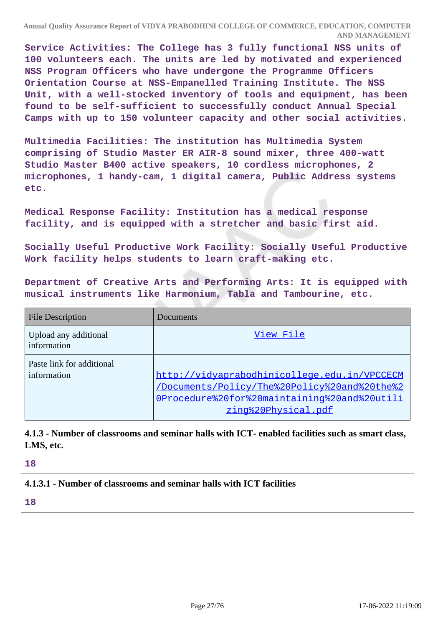**Service Activities: The College has 3 fully functional NSS units of 100 volunteers each. The units are led by motivated and experienced NSS Program Officers who have undergone the Programme Officers Orientation Course at NSS-Empanelled Training Institute. The NSS Unit, with a well-stocked inventory of tools and equipment, has been found to be self-sufficient to successfully conduct Annual Special Camps with up to 150 volunteer capacity and other social activities.**

**Multimedia Facilities: The institution has Multimedia System comprising of Studio Master ER AIR-8 sound mixer, three 400-watt Studio Master B400 active speakers, 10 cordless microphones, 2 microphones, 1 handy-cam, 1 digital camera, Public Address systems etc.**

**Medical Response Facility: Institution has a medical response facility, and is equipped with a stretcher and basic first aid.**

**Socially Useful Productive Work Facility: Socially Useful Productive Work facility helps students to learn craft-making etc.**

**Department of Creative Arts and Performing Arts: It is equipped with musical instruments like Harmonium, Tabla and Tambourine, etc.**

| <b>File Description</b>                  | Documents                                                                                                                                                           |
|------------------------------------------|---------------------------------------------------------------------------------------------------------------------------------------------------------------------|
| Upload any additional<br>information     | View File                                                                                                                                                           |
| Paste link for additional<br>information | http://vidyaprabodhinicollege.edu.in/VPCCECM<br>/Documents/Policy/The%20Policy%20and%20the%2<br>OProcedure%20for%20maintaining%20and%20utili<br>zing%20Physical.pdf |

**4.1.3 - Number of classrooms and seminar halls with ICT- enabled facilities such as smart class, LMS, etc.**

**18**

**4.1.3.1 - Number of classrooms and seminar halls with ICT facilities**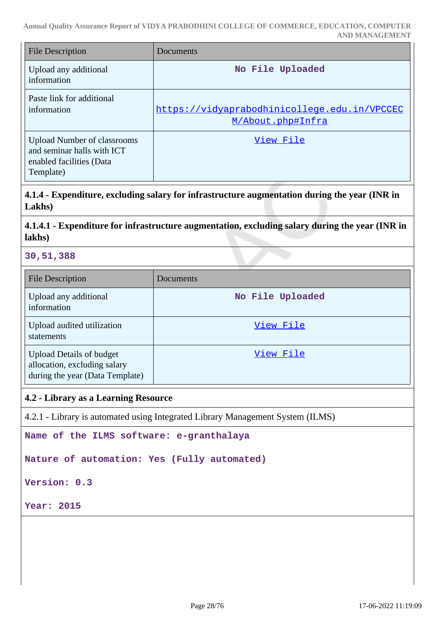| <b>File Description</b>                                                                                   | Documents                                                         |
|-----------------------------------------------------------------------------------------------------------|-------------------------------------------------------------------|
| Upload any additional<br>information                                                                      | No File Uploaded                                                  |
| Paste link for additional<br>information                                                                  | https://vidyaprabodhinicollege.edu.in/VPCCEC<br>M/About.php#Infra |
| <b>Upload Number of classrooms</b><br>and seminar halls with ICT<br>enabled facilities (Data<br>Template) | View File                                                         |

**4.1.4 - Expenditure, excluding salary for infrastructure augmentation during the year (INR in Lakhs)**

# **4.1.4.1 - Expenditure for infrastructure augmentation, excluding salary during the year (INR in lakhs)**

### **30,51,388**

| <b>File Description</b>                                                                            | Documents        |
|----------------------------------------------------------------------------------------------------|------------------|
| Upload any additional<br>information                                                               | No File Uploaded |
| Upload audited utilization<br>statements                                                           | View File        |
| <b>Upload Details of budget</b><br>allocation, excluding salary<br>during the year (Data Template) | View File        |

#### **4.2 - Library as a Learning Resource**

4.2.1 - Library is automated using Integrated Library Management System (ILMS)

**Name of the ILMS software: e-granthalaya**

**Nature of automation: Yes (Fully automated)**

**Version: 0.3**

**Year: 2015**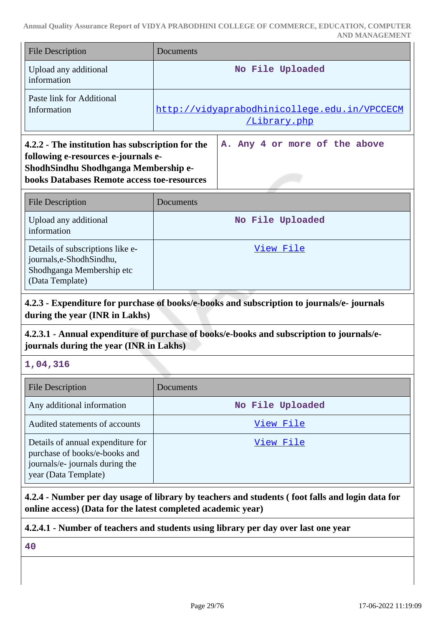| <b>File Description</b>                                                                                                                                                               | Documents                                                           |  |
|---------------------------------------------------------------------------------------------------------------------------------------------------------------------------------------|---------------------------------------------------------------------|--|
| Upload any additional<br>information                                                                                                                                                  | No File Uploaded                                                    |  |
| Paste link for Additional<br>Information                                                                                                                                              | http://vidyaprabodhinicollege.edu.in/VPCCECM<br><u>/Library.php</u> |  |
| 4.2.2 - The institution has subscription for the<br>following e-resources e-journals e-<br>ShodhSindhu Shodhganga Membership e-<br><b>books Databases Remote access toe-resources</b> | A. Any 4 or more of the above                                       |  |
| <b>File Description</b>                                                                                                                                                               | Documents                                                           |  |
| Upload any additional<br>information                                                                                                                                                  | No File Uploaded                                                    |  |
| Details of subscriptions like e-<br>journals,e-ShodhSindhu,                                                                                                                           | View File                                                           |  |

# **4.2.3 - Expenditure for purchase of books/e-books and subscription to journals/e- journals during the year (INR in Lakhs)**

### **4.2.3.1 - Annual expenditure of purchase of books/e-books and subscription to journals/ejournals during the year (INR in Lakhs)**

# **1,04,316**

| <b>File Description</b>                                                                                                       | <b>Documents</b> |
|-------------------------------------------------------------------------------------------------------------------------------|------------------|
| Any additional information                                                                                                    | No File Uploaded |
| Audited statements of accounts                                                                                                | View File        |
| Details of annual expenditure for<br>purchase of books/e-books and<br>journals/e- journals during the<br>year (Data Template) | View File        |

**4.2.4 - Number per day usage of library by teachers and students ( foot falls and login data for online access) (Data for the latest completed academic year)**

# **4.2.4.1 - Number of teachers and students using library per day over last one year**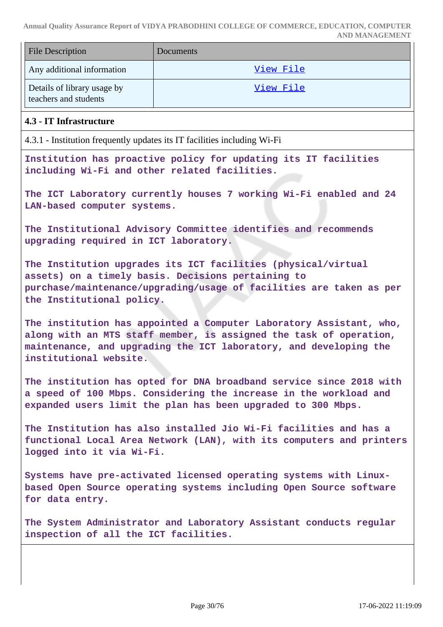|                                                                                                                                                                                                                                          | AND MANAGEMENT                                                     |  |
|------------------------------------------------------------------------------------------------------------------------------------------------------------------------------------------------------------------------------------------|--------------------------------------------------------------------|--|
| <b>File Description</b>                                                                                                                                                                                                                  | Documents                                                          |  |
| Any additional information                                                                                                                                                                                                               | View File                                                          |  |
| Details of library usage by<br>teachers and students                                                                                                                                                                                     | View File                                                          |  |
| 4.3 - IT Infrastructure                                                                                                                                                                                                                  |                                                                    |  |
| 4.3.1 - Institution frequently updates its IT facilities including Wi-Fi                                                                                                                                                                 |                                                                    |  |
| Institution has proactive policy for updating its IT facilities<br>including Wi-Fi and other related facilities.                                                                                                                         |                                                                    |  |
| LAN-based computer systems.                                                                                                                                                                                                              | The ICT Laboratory currently houses 7 working Wi-Fi enabled and 24 |  |
| upgrading required in ICT laboratory.                                                                                                                                                                                                    | The Institutional Advisory Committee identifies and recommends     |  |
| The Institution upgrades its ICT facilities (physical/virtual<br>assets) on a timely basis. Decisions pertaining to<br>purchase/maintenance/upgrading/usage of facilities are taken as per<br>the Institutional policy.                  |                                                                    |  |
| The institution has appointed a Computer Laboratory Assistant, who,<br>along with an MTS staff member, is assigned the task of operation,<br>maintenance, and upgrading the ICT laboratory, and developing the<br>institutional website. |                                                                    |  |
| The institution has opted for DNA broadband service since 2018 with<br>a speed of 100 Mbps. Considering the increase in the workload and<br>expanded users limit the plan has been upgraded to 300 Mbps.                                 |                                                                    |  |
| The Institution has also installed Jio Wi-Fi facilities and has a<br>functional Local Area Network (LAN), with its computers and printers<br>logged into it via Wi-Fi.                                                                   |                                                                    |  |
| Systems have pre-activated licensed operating systems with Linux-<br>based Open Source operating systems including Open Source software<br>for data entry.                                                                               |                                                                    |  |
| inspection of all the ICT facilities.                                                                                                                                                                                                    | The System Administrator and Laboratory Assistant conducts regular |  |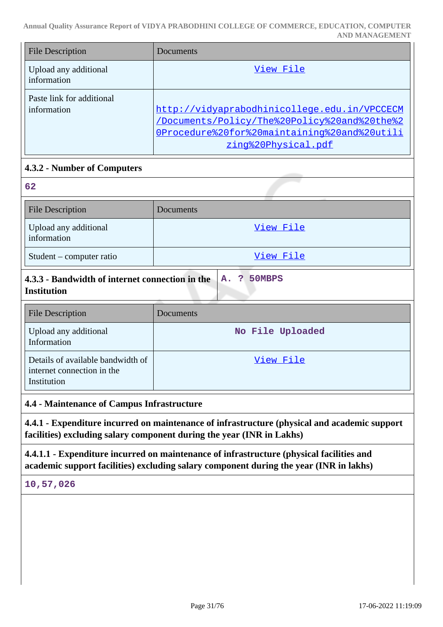| <b>File Description</b>                  | Documents                                                                                                                                                           |
|------------------------------------------|---------------------------------------------------------------------------------------------------------------------------------------------------------------------|
| Upload any additional<br>information     | View File                                                                                                                                                           |
| Paste link for additional<br>information | http://vidyaprabodhinicollege.edu.in/VPCCECM<br>/Documents/Policy/The%20Policy%20and%20the%2<br>OProcedure%20for%20maintaining%20and%20utili<br>zing%20Physical.pdf |

# **4.3.2 - Number of Computers**

| 62                                   |           |
|--------------------------------------|-----------|
| <b>File Description</b>              | Documents |
| Upload any additional<br>information | View File |
| Student – computer ratio             | View File |

| 4.3.3 - Bandwidth of internet connection in the $\begin{bmatrix} A_1 & 0 \\ 0 & A_2 \end{bmatrix}$ 50MBPS |  |  |
|-----------------------------------------------------------------------------------------------------------|--|--|
| <b>Institution</b>                                                                                        |  |  |

| <b>File Description</b>                                                        | <b>Documents</b> |
|--------------------------------------------------------------------------------|------------------|
| Upload any additional<br>Information                                           | No File Uploaded |
| Details of available bandwidth of<br>internet connection in the<br>Institution | View File        |

### **4.4 - Maintenance of Campus Infrastructure**

**4.4.1 - Expenditure incurred on maintenance of infrastructure (physical and academic support facilities) excluding salary component during the year (INR in Lakhs)**

**4.4.1.1 - Expenditure incurred on maintenance of infrastructure (physical facilities and academic support facilities) excluding salary component during the year (INR in lakhs)**

**10,57,026**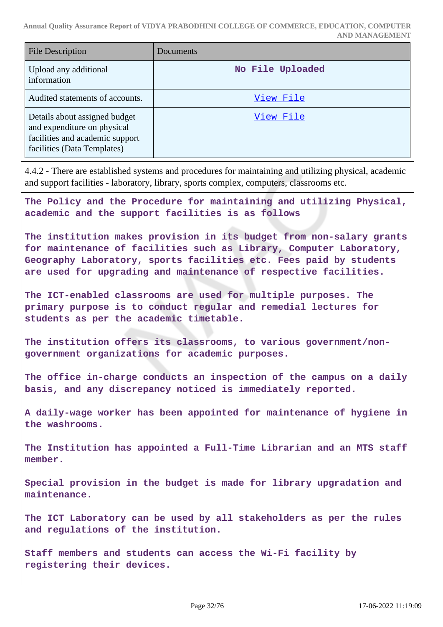| <b>File Description</b>                                                                                                        | Documents        |
|--------------------------------------------------------------------------------------------------------------------------------|------------------|
| Upload any additional<br>information                                                                                           | No File Uploaded |
| Audited statements of accounts.                                                                                                | View File        |
| Details about assigned budget<br>and expenditure on physical<br>facilities and academic support<br>facilities (Data Templates) | View File        |

4.4.2 - There are established systems and procedures for maintaining and utilizing physical, academic and support facilities - laboratory, library, sports complex, computers, classrooms etc.

**The Policy and the Procedure for maintaining and utilizing Physical, academic and the support facilities is as follows**

**The institution makes provision in its budget from non-salary grants for maintenance of facilities such as Library, Computer Laboratory, Geography Laboratory, sports facilities etc. Fees paid by students are used for upgrading and maintenance of respective facilities.**

**The ICT-enabled classrooms are used for multiple purposes. The primary purpose is to conduct regular and remedial lectures for students as per the academic timetable.**

**The institution offers its classrooms, to various government/nongovernment organizations for academic purposes.**

**The office in-charge conducts an inspection of the campus on a daily basis, and any discrepancy noticed is immediately reported.**

**A daily-wage worker has been appointed for maintenance of hygiene in the washrooms.**

**The Institution has appointed a Full-Time Librarian and an MTS staff member.**

**Special provision in the budget is made for library upgradation and maintenance.**

**The ICT Laboratory can be used by all stakeholders as per the rules and regulations of the institution.**

**Staff members and students can access the Wi-Fi facility by registering their devices.**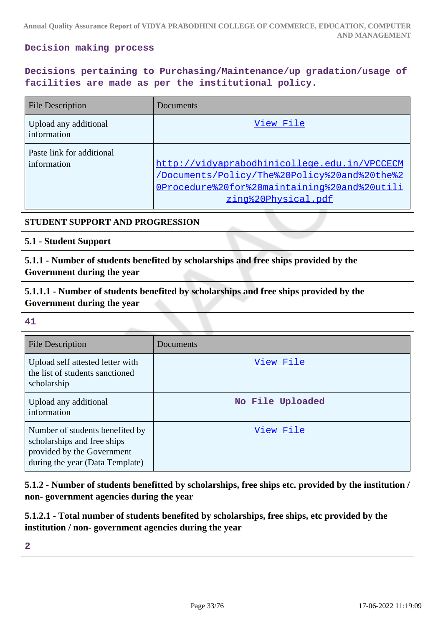### **Decision making process**

# **Decisions pertaining to Purchasing/Maintenance/up gradation/usage of facilities are made as per the institutional policy.**

| <b>File Description</b>                  | Documents                                                                                                                                                           |
|------------------------------------------|---------------------------------------------------------------------------------------------------------------------------------------------------------------------|
| Upload any additional<br>information     | View File                                                                                                                                                           |
| Paste link for additional<br>information | http://vidyaprabodhinicollege.edu.in/VPCCECM<br>/Documents/Policy/The%20Policy%20and%20the%2<br>OProcedure%20for%20maintaining%20and%20utili<br>zing%20Physical.pdf |

### **STUDENT SUPPORT AND PROGRESSION**

### **5.1 - Student Support**

**5.1.1 - Number of students benefited by scholarships and free ships provided by the Government during the year**

**5.1.1.1 - Number of students benefited by scholarships and free ships provided by the Government during the year**

#### **41**

| File Description                                                                                                                | Documents        |
|---------------------------------------------------------------------------------------------------------------------------------|------------------|
| Upload self attested letter with<br>the list of students sanctioned<br>scholarship                                              | View File        |
| Upload any additional<br>information                                                                                            | No File Uploaded |
| Number of students benefited by<br>scholarships and free ships<br>provided by the Government<br>during the year (Data Template) | View File        |

**5.1.2 - Number of students benefitted by scholarships, free ships etc. provided by the institution / non- government agencies during the year**

**5.1.2.1 - Total number of students benefited by scholarships, free ships, etc provided by the institution / non- government agencies during the year**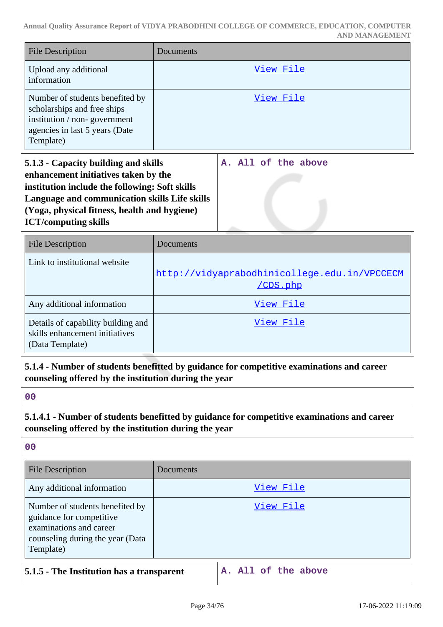| <b>File Description</b>                                                                                                                                                                                                                                        | Documents |                                                                                           |
|----------------------------------------------------------------------------------------------------------------------------------------------------------------------------------------------------------------------------------------------------------------|-----------|-------------------------------------------------------------------------------------------|
| Upload any additional<br>information                                                                                                                                                                                                                           |           | View File                                                                                 |
| Number of students benefited by<br>scholarships and free ships<br>institution / non-government<br>agencies in last 5 years (Date<br>Template)                                                                                                                  |           | View File                                                                                 |
| 5.1.3 - Capacity building and skills<br>enhancement initiatives taken by the<br>institution include the following: Soft skills<br>Language and communication skills Life skills<br>(Yoga, physical fitness, health and hygiene)<br><b>ICT/computing skills</b> | Α.        | All of the above                                                                          |
| <b>File Description</b>                                                                                                                                                                                                                                        | Documents |                                                                                           |
| Link to institutional website                                                                                                                                                                                                                                  |           | http://vidyaprabodhinicollege.edu.in/VPCCECM<br>/CDS.php                                  |
| Any additional information                                                                                                                                                                                                                                     | View File |                                                                                           |
| Details of capability building and<br>skills enhancement initiatives<br>(Data Template)                                                                                                                                                                        | View File |                                                                                           |
| counseling offered by the institution during the year                                                                                                                                                                                                          |           | 5.1.4 - Number of students benefitted by guidance for competitive examinations and career |
| 0 <sub>0</sub>                                                                                                                                                                                                                                                 |           |                                                                                           |
| 5.1.4.1 - Number of students benefitted by guidance for competitive examinations and career<br>counseling offered by the institution during the year                                                                                                           |           |                                                                                           |
| 00                                                                                                                                                                                                                                                             |           |                                                                                           |
| <b>File Description</b>                                                                                                                                                                                                                                        | Documents |                                                                                           |
| Any additional information                                                                                                                                                                                                                                     |           | View File                                                                                 |
| Number of students benefited by<br>guidance for competitive<br>examinations and career<br>counseling during the year (Data<br>Template)                                                                                                                        |           | <u>View File</u>                                                                          |
| 5.1.5 - The Institution has a transparent                                                                                                                                                                                                                      |           | A. All of the above                                                                       |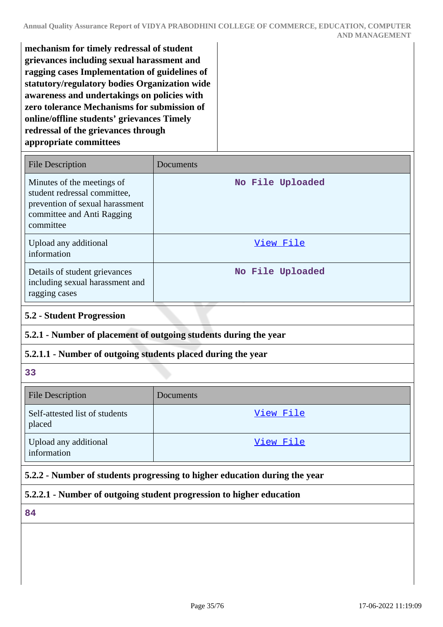**mechanism for timely redressal of student grievances including sexual harassment and ragging cases Implementation of guidelines of statutory/regulatory bodies Organization wide awareness and undertakings on policies with zero tolerance Mechanisms for submission of online/offline students' grievances Timely redressal of the grievances through appropriate committees**

| <b>File Description</b>                                                                                                                  | Documents        |
|------------------------------------------------------------------------------------------------------------------------------------------|------------------|
| Minutes of the meetings of<br>student redressal committee,<br>prevention of sexual harassment<br>committee and Anti Ragging<br>committee | No File Uploaded |
| Upload any additional<br>information                                                                                                     | View File        |
| Details of student grievances<br>including sexual harassment and<br>ragging cases                                                        | No File Uploaded |

### **5.2 - Student Progression**

# **5.2.1 - Number of placement of outgoing students during the year**

# **5.2.1.1 - Number of outgoing students placed during the year**

**33**

| File Description                         | Documents |
|------------------------------------------|-----------|
| Self-attested list of students<br>placed | View File |
| Upload any additional<br>information     | View File |

# **5.2.2 - Number of students progressing to higher education during the year**

# **5.2.2.1 - Number of outgoing student progression to higher education**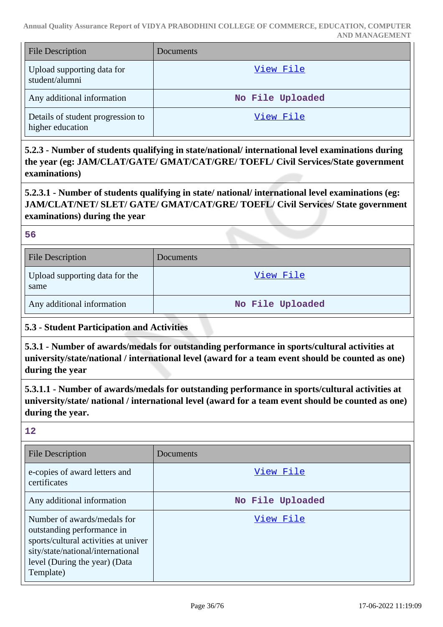| <b>File Description</b>                               | Documents        |
|-------------------------------------------------------|------------------|
| Upload supporting data for<br>student/alumni          | View File        |
| Any additional information                            | No File Uploaded |
| Details of student progression to<br>higher education | View File        |

**5.2.3 - Number of students qualifying in state/national/ international level examinations during the year (eg: JAM/CLAT/GATE/ GMAT/CAT/GRE/ TOEFL/ Civil Services/State government examinations)**

**5.2.3.1 - Number of students qualifying in state/ national/ international level examinations (eg: JAM/CLAT/NET/ SLET/ GATE/ GMAT/CAT/GRE/ TOEFL/ Civil Services/ State government examinations) during the year**

**56**

| <b>File Description</b>                | <b>Documents</b> |
|----------------------------------------|------------------|
| Upload supporting data for the<br>same | View File        |
| Any additional information             | No File Uploaded |

# **5.3 - Student Participation and Activities**

**5.3.1 - Number of awards/medals for outstanding performance in sports/cultural activities at university/state/national / international level (award for a team event should be counted as one) during the year**

**5.3.1.1 - Number of awards/medals for outstanding performance in sports/cultural activities at university/state/ national / international level (award for a team event should be counted as one) during the year.**

| <b>File Description</b>                                                                                                                                                              | Documents        |
|--------------------------------------------------------------------------------------------------------------------------------------------------------------------------------------|------------------|
| e-copies of award letters and<br>certificates                                                                                                                                        | View File        |
| Any additional information                                                                                                                                                           | No File Uploaded |
| Number of awards/medals for<br>outstanding performance in<br>sports/cultural activities at univer<br>sity/state/national/international<br>level (During the year) (Data<br>Template) | View File        |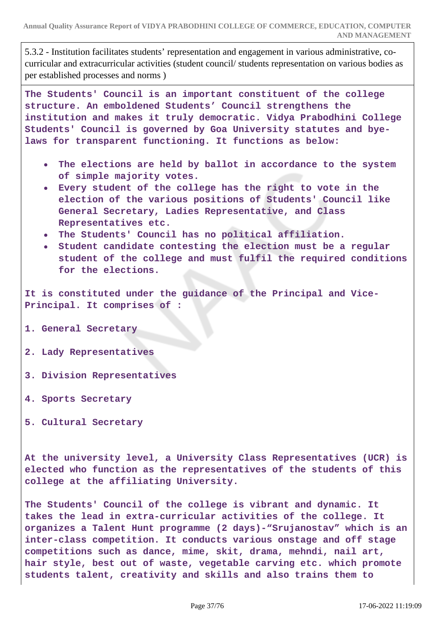5.3.2 - Institution facilitates students' representation and engagement in various administrative, cocurricular and extracurricular activities (student council/ students representation on various bodies as per established processes and norms )

**The Students' Council is an important constituent of the college structure. An emboldened Students' Council strengthens the institution and makes it truly democratic. Vidya Prabodhini College Students' Council is governed by Goa University statutes and byelaws for transparent functioning. It functions as below:**

- **The elections are held by ballot in accordance to the system of simple majority votes.**
- **Every student of the college has the right to vote in the election of the various positions of Students' Council like General Secretary, Ladies Representative, and Class Representatives etc.**
- **The Students' Council has no political affiliation.**
- **Student candidate contesting the election must be a regular student of the college and must fulfil the required conditions for the elections.**

**It is constituted under the guidance of the Principal and Vice-Principal. It comprises of :**

- **1. General Secretary**
- **2. Lady Representatives**
- **3. Division Representatives**
- **4. Sports Secretary**
- **5. Cultural Secretary**

**At the university level, a University Class Representatives (UCR) is elected who function as the representatives of the students of this college at the affiliating University.**

**The Students' Council of the college is vibrant and dynamic. It takes the lead in extra-curricular activities of the college. It organizes a Talent Hunt programme (2 days)-"Srujanostav" which is an inter-class competition. It conducts various onstage and off stage competitions such as dance, mime, skit, drama, mehndi, nail art, hair style, best out of waste, vegetable carving etc. which promote students talent, creativity and skills and also trains them to**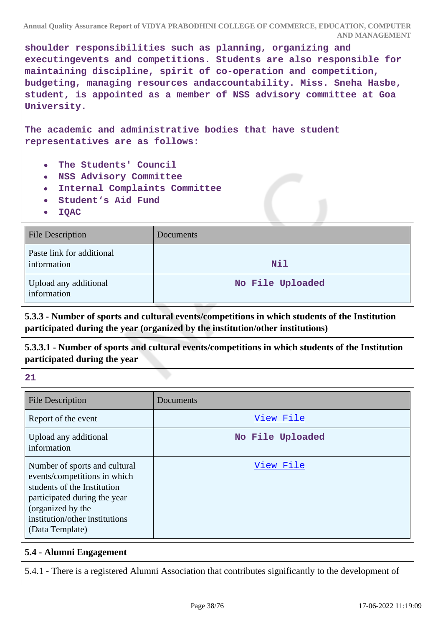**shoulder responsibilities such as planning, organizing and executingevents and competitions. Students are also responsible for maintaining discipline, spirit of co-operation and competition, budgeting, managing resources andaccountability. Miss. Sneha Hasbe, student, is appointed as a member of NSS advisory committee at Goa University.**

**The academic and administrative bodies that have student representatives are as follows:**

- **The Students' Council**
- **NSS Advisory Committee**
- **Internal Complaints Committee**  $\bullet$
- **Student's Aid Fund**
- **IQAC**  $\bullet$

| <b>File Description</b>                  | Documents        |
|------------------------------------------|------------------|
| Paste link for additional<br>information | Nil              |
| Upload any additional<br>information     | No File Uploaded |

**5.3.3 - Number of sports and cultural events/competitions in which students of the Institution participated during the year (organized by the institution/other institutions)**

**5.3.3.1 - Number of sports and cultural events/competitions in which students of the Institution participated during the year**

**21**

| <b>File Description</b>                                                                                                                                                                                | Documents        |
|--------------------------------------------------------------------------------------------------------------------------------------------------------------------------------------------------------|------------------|
| Report of the event                                                                                                                                                                                    | View File        |
| Upload any additional<br>information                                                                                                                                                                   | No File Uploaded |
| Number of sports and cultural<br>events/competitions in which<br>students of the Institution<br>participated during the year<br>(organized by the<br>institution/other institutions<br>(Data Template) | View File        |

# **5.4 - Alumni Engagement**

5.4.1 - There is a registered Alumni Association that contributes significantly to the development of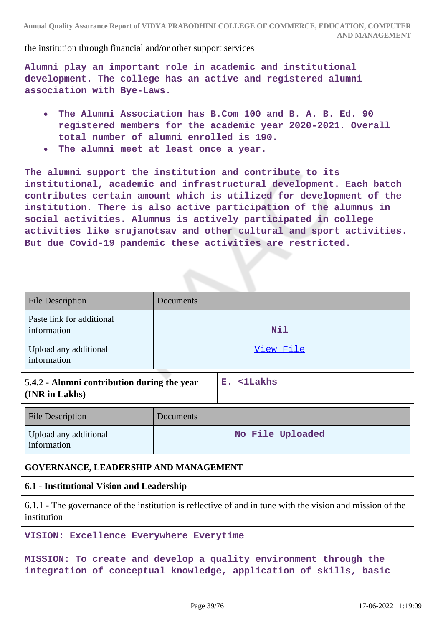the institution through financial and/or other support services

**Alumni play an important role in academic and institutional development. The college has an active and registered alumni association with Bye-Laws.**

- **The Alumni Association has B.Com 100 and B. A. B. Ed. 90 registered members for the academic year 2020-2021. Overall total number of alumni enrolled is 190.**
- **The alumni meet at least once a year.**

**The alumni support the institution and contribute to its institutional, academic and infrastructural development. Each batch contributes certain amount which is utilized for development of the institution. There is also active participation of the alumnus in social activities. Alumnus is actively participated in college activities like srujanotsav and other cultural and sport activities. But due Covid-19 pandemic these activities are restricted.**

| <b>File Description</b>                                       | Documents |                  |
|---------------------------------------------------------------|-----------|------------------|
| Paste link for additional<br>information                      |           | Nil              |
| Upload any additional<br>information                          |           | View File        |
| 5.4.2 - Alumni contribution during the year<br>(INR in Lakhs) |           | E. <1Lakhs       |
| <b>File Description</b>                                       | Documents |                  |
| Upload any additional<br>information                          |           | No File Uploaded |

# **GOVERNANCE, LEADERSHIP AND MANAGEMENT**

# **6.1 - Institutional Vision and Leadership**

6.1.1 - The governance of the institution is reflective of and in tune with the vision and mission of the institution

**VISION: Excellence Everywhere Everytime**

**MISSION: To create and develop a quality environment through the integration of conceptual knowledge, application of skills, basic**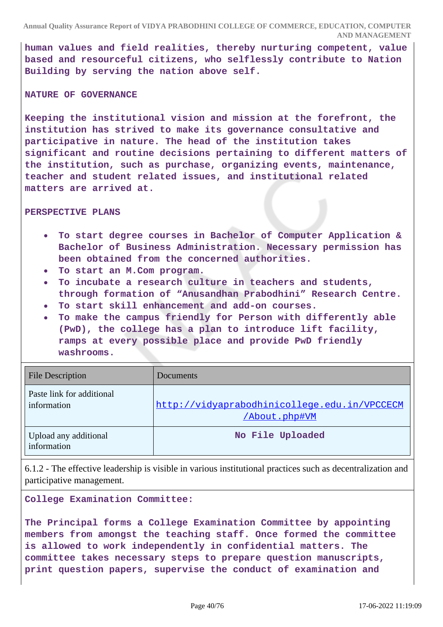**human values and field realities, thereby nurturing competent, value based and resourceful citizens, who selflessly contribute to Nation Building by serving the nation above self.**

#### **NATURE OF GOVERNANCE**

**Keeping the institutional vision and mission at the forefront, the institution has strived to make its governance consultative and participative in nature. The head of the institution takes significant and routine decisions pertaining to different matters of the institution, such as purchase, organizing events, maintenance, teacher and student related issues, and institutional related matters are arrived at.**

#### **PERSPECTIVE PLANS**

- **To start degree courses in Bachelor of Computer Application &**  $\bullet$ **Bachelor of Business Administration. Necessary permission has been obtained from the concerned authorities.**
- **To start an M.Com program.**
- **To incubate a research culture in teachers and students, through formation of "Anusandhan Prabodhini" Research Centre.**
- **To start skill enhancement and add-on courses.**
- **To make the campus friendly for Person with differently able (PwD), the college has a plan to introduce lift facility, ramps at every possible place and provide PwD friendly washrooms.**

| <b>File Description</b>                  | Documents                                                     |
|------------------------------------------|---------------------------------------------------------------|
| Paste link for additional<br>information | http://vidyaprabodhinicollege.edu.in/VPCCECM<br>/About.php#VM |
| Upload any additional<br>information     | No File Uploaded                                              |

6.1.2 - The effective leadership is visible in various institutional practices such as decentralization and participative management.

**College Examination Committee:**

**The Principal forms a College Examination Committee by appointing members from amongst the teaching staff. Once formed the committee is allowed to work independently in confidential matters. The committee takes necessary steps to prepare question manuscripts, print question papers, supervise the conduct of examination and**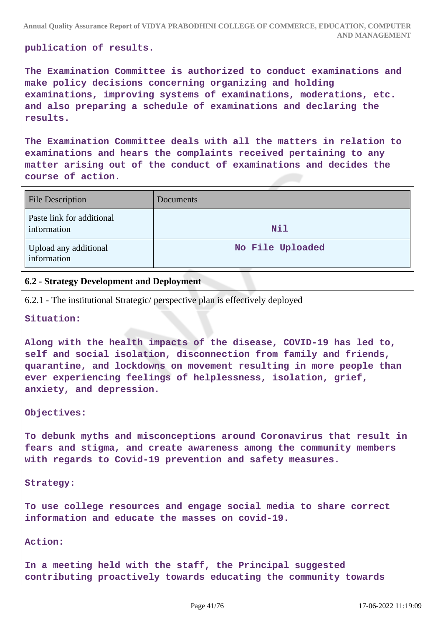**publication of results.**

**The Examination Committee is authorized to conduct examinations and make policy decisions concerning organizing and holding examinations, improving systems of examinations, moderations, etc. and also preparing a schedule of examinations and declaring the results.**

**The Examination Committee deals with all the matters in relation to examinations and hears the complaints received pertaining to any matter arising out of the conduct of examinations and decides the course of action.**

| <b>File Description</b>                  | <b>Documents</b> |
|------------------------------------------|------------------|
| Paste link for additional<br>information | Nil              |
| Upload any additional<br>information     | No File Uploaded |

# **6.2 - Strategy Development and Deployment**

6.2.1 - The institutional Strategic/ perspective plan is effectively deployed

#### **Situation:**

**Along with the health impacts of the disease, COVID-19 has led to, self and social isolation, disconnection from family and friends, quarantine, and lockdowns on movement resulting in more people than ever experiencing feelings of helplessness, isolation, grief, anxiety, and depression.**

#### **Objectives:**

**To debunk myths and misconceptions around Coronavirus that result in fears and stigma, and create awareness among the community members with regards to Covid-19 prevention and safety measures.**

**Strategy:** 

**To use college resources and engage social media to share correct information and educate the masses on covid-19.**

**Action:** 

**In a meeting held with the staff, the Principal suggested contributing proactively towards educating the community towards**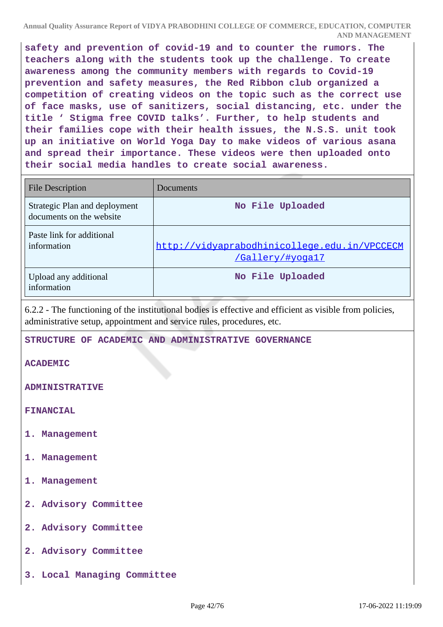**safety and prevention of covid-19 and to counter the rumors. The teachers along with the students took up the challenge. To create awareness among the community members with regards to Covid-19 prevention and safety measures, the Red Ribbon club organized a competition of creating videos on the topic such as the correct use of face masks, use of sanitizers, social distancing, etc. under the title ' Stigma free COVID talks'. Further, to help students and their families cope with their health issues, the N.S.S. unit took up an initiative on World Yoga Day to make videos of various asana and spread their importance. These videos were then uploaded onto their social media handles to create social awareness.**

| <b>File Description</b>                                   | Documents                                                        |
|-----------------------------------------------------------|------------------------------------------------------------------|
| Strategic Plan and deployment<br>documents on the website | No File Uploaded                                                 |
| Paste link for additional<br>information                  | http://vidyaprabodhinicollege.edu.in/VPCCECM<br>/Gallery/#yoga17 |
| Upload any additional<br>information                      | No File Uploaded                                                 |

6.2.2 - The functioning of the institutional bodies is effective and efficient as visible from policies, administrative setup, appointment and service rules, procedures, etc.

**STRUCTURE OF ACADEMIC AND ADMINISTRATIVE GOVERNANCE**

**ACADEMIC** 

**ADMINISTRATIVE**

**FINANCIAL**

- **1. Management**
- **1. Management**
- **1. Management**
- **2. Advisory Committee**
- **2. Advisory Committee**
- **2. Advisory Committee**
- **3. Local Managing Committee**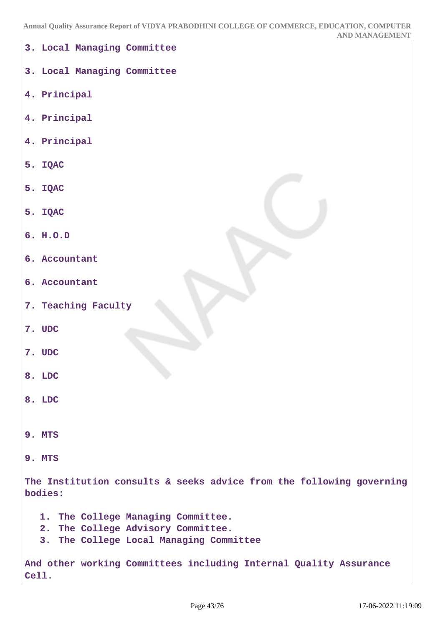| 3. Local Managing Committee                                                      |
|----------------------------------------------------------------------------------|
| 3. Local Managing Committee                                                      |
| 4. Principal                                                                     |
| 4. Principal                                                                     |
| 4. Principal                                                                     |
| 5. IQAC                                                                          |
| 5. IQAC                                                                          |
| 5. IQAC                                                                          |
| 6. H.O.D                                                                         |
| 6. Accountant                                                                    |
| 6. Accountant                                                                    |
| 7. Teaching Faculty                                                              |
| 7. UDC                                                                           |
| 7. UDC                                                                           |
| 8. LDC                                                                           |
| 8. LDC                                                                           |
|                                                                                  |
| 9. MTS                                                                           |
| 9. MTS                                                                           |
| The Institution consults & seeks advice from the following governing<br>bodies:  |
| 1. The College Managing Committee.                                               |
| The College Advisory Committee.<br>2.<br>3. The College Local Managing Committee |
|                                                                                  |
| And other working Committees including Internal Quality Assurance<br>Cell.       |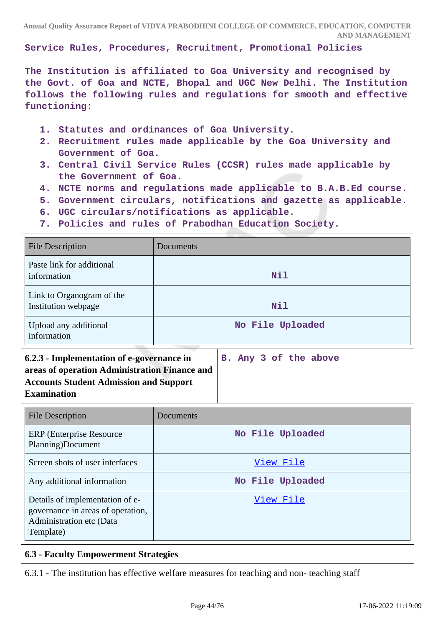**Service Rules, Procedures, Recruitment, Promotional Policies** 

**The Institution is affiliated to Goa University and recognised by the Govt. of Goa and NCTE, Bhopal and UGC New Delhi. The Institution follows the following rules and regulations for smooth and effective functioning:**

- **1. Statutes and ordinances of Goa University.**
- **2. Recruitment rules made applicable by the Goa University and Government of Goa.**
- **3. Central Civil Service Rules (CCSR) rules made applicable by the Government of Goa.**
- **4. NCTE norms and regulations made applicable to B.A.B.Ed course.**
- **5. Government circulars, notifications and gazette as applicable.**
- **6. UGC circulars/notifications as applicable.**
- **7. Policies and rules of Prabodhan Education Society.**

| <b>File Description</b>                                                                                                                                           | Documents             |
|-------------------------------------------------------------------------------------------------------------------------------------------------------------------|-----------------------|
| Paste link for additional<br>information                                                                                                                          | Nil                   |
| Link to Organogram of the<br>Institution webpage                                                                                                                  | Nil                   |
| Upload any additional<br>information                                                                                                                              | No File Uploaded      |
| 6.2.3 - Implementation of e-governance in<br>areas of operation Administration Finance and<br><b>Accounts Student Admission and Support</b><br><b>Examination</b> | B. Any 3 of the above |
| <b>File Description</b>                                                                                                                                           | Documents             |
| <b>ERP</b> (Enterprise Resource)                                                                                                                                  | No File Uploaded      |

| <b>ERP</b> (Enterprise Resource)<br>Planning)Document                                                         | No File Uploaded |
|---------------------------------------------------------------------------------------------------------------|------------------|
| Screen shots of user interfaces                                                                               | View File        |
| Any additional information                                                                                    | No File Uploaded |
| Details of implementation of e-<br>governance in areas of operation,<br>Administration etc (Data<br>Template) | View File        |

# **6.3 - Faculty Empowerment Strategies**

6.3.1 - The institution has effective welfare measures for teaching and non- teaching staff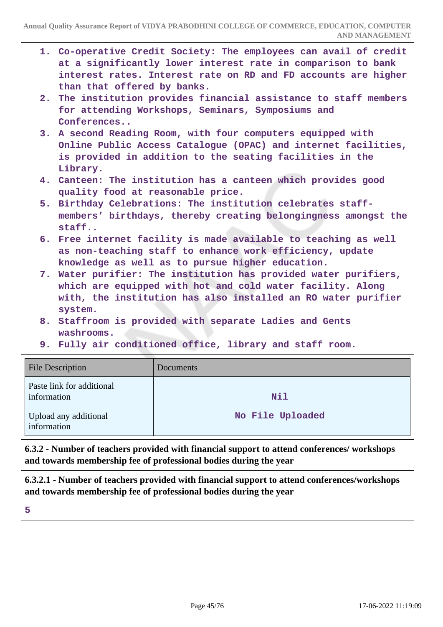|             |                                                                                                                                                                                                            | AND MANAGEMEN I                                                                                                                                                                                     |
|-------------|------------------------------------------------------------------------------------------------------------------------------------------------------------------------------------------------------------|-----------------------------------------------------------------------------------------------------------------------------------------------------------------------------------------------------|
|             | than that offered by banks.                                                                                                                                                                                | 1. Co-operative Credit Society: The employees can avail of credit<br>at a significantly lower interest rate in comparison to bank<br>interest rates. Interest rate on RD and FD accounts are higher |
| 2.          | Conferences                                                                                                                                                                                                | The institution provides financial assistance to staff members<br>for attending Workshops, Seminars, Symposiums and                                                                                 |
|             | 3. A second Reading Room, with four computers equipped with<br>Online Public Access Catalogue (OPAC) and internet facilities,<br>is provided in addition to the seating facilities in the<br>Library.      |                                                                                                                                                                                                     |
|             | 4. Canteen: The institution has a canteen which provides good<br>quality food at reasonable price.                                                                                                         |                                                                                                                                                                                                     |
|             | 5. Birthday Celebrations: The institution celebrates staff-<br>members' birthdays, thereby creating belongingness amongst the<br>staff                                                                     |                                                                                                                                                                                                     |
|             | 6. Free internet facility is made available to teaching as well<br>as non-teaching staff to enhance work efficiency, update<br>knowledge as well as to pursue higher education.                            |                                                                                                                                                                                                     |
|             | 7. Water purifier: The institution has provided water purifiers,<br>which are equipped with hot and cold water facility. Along<br>with, the institution has also installed an RO water purifier<br>system. |                                                                                                                                                                                                     |
|             | 8. Staffroom is provided with separate Ladies and Gents<br>washrooms.                                                                                                                                      |                                                                                                                                                                                                     |
|             |                                                                                                                                                                                                            | 9. Fully air conditioned office, library and staff room.                                                                                                                                            |
|             | <b>File Description</b>                                                                                                                                                                                    | Documents                                                                                                                                                                                           |
| information | Paste link for additional                                                                                                                                                                                  | Nil                                                                                                                                                                                                 |

**6.3.2 - Number of teachers provided with financial support to attend conferences/ workshops and towards membership fee of professional bodies during the year**

**No File Uploaded**

**6.3.2.1 - Number of teachers provided with financial support to attend conferences/workshops and towards membership fee of professional bodies during the year**

**5**

Upload any additional

information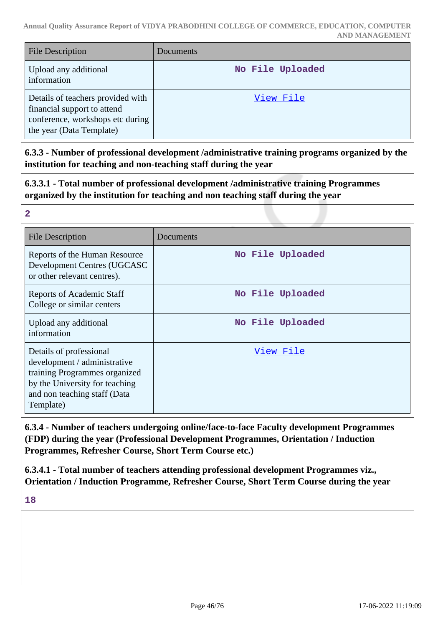| <b>File Description</b>                                                                                                          | Documents        |
|----------------------------------------------------------------------------------------------------------------------------------|------------------|
| Upload any additional<br>information                                                                                             | No File Uploaded |
| Details of teachers provided with<br>financial support to attend<br>conference, workshops etc during<br>the year (Data Template) | View File        |

**6.3.3 - Number of professional development /administrative training programs organized by the institution for teaching and non-teaching staff during the year**

**6.3.3.1 - Total number of professional development /administrative training Programmes organized by the institution for teaching and non teaching staff during the year**

| <b>File Description</b>                                                                                                                                                 | Documents        |
|-------------------------------------------------------------------------------------------------------------------------------------------------------------------------|------------------|
| Reports of the Human Resource<br>Development Centres (UGCASC<br>or other relevant centres).                                                                             | No File Uploaded |
| <b>Reports of Academic Staff</b><br>College or similar centers                                                                                                          | No File Uploaded |
| Upload any additional<br>information                                                                                                                                    | No File Uploaded |
| Details of professional<br>development / administrative<br>training Programmes organized<br>by the University for teaching<br>and non teaching staff (Data<br>Template) | View File        |

**6.3.4 - Number of teachers undergoing online/face-to-face Faculty development Programmes (FDP) during the year (Professional Development Programmes, Orientation / Induction Programmes, Refresher Course, Short Term Course etc.)**

**6.3.4.1 - Total number of teachers attending professional development Programmes viz., Orientation / Induction Programme, Refresher Course, Short Term Course during the year**

**18**

**2**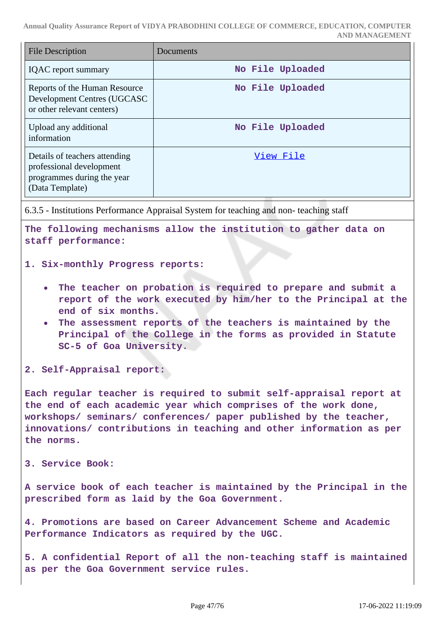| <b>File Description</b>                                                                                    | Documents        |
|------------------------------------------------------------------------------------------------------------|------------------|
| <b>IQAC</b> report summary                                                                                 | No File Uploaded |
| Reports of the Human Resource<br>Development Centres (UGCASC<br>or other relevant centers)                 | No File Uploaded |
| Upload any additional<br>information                                                                       | No File Uploaded |
| Details of teachers attending<br>professional development<br>programmes during the year<br>(Data Template) | View File        |

6.3.5 - Institutions Performance Appraisal System for teaching and non- teaching staff

**The following mechanisms allow the institution to gather data on staff performance:**

#### **1. Six-monthly Progress reports:**

- **The teacher on probation is required to prepare and submit a report of the work executed by him/her to the Principal at the end of six months.**
- **The assessment reports of the teachers is maintained by the Principal of the College in the forms as provided in Statute SC-5 of Goa University.**

**2. Self-Appraisal report:**

**Each regular teacher is required to submit self-appraisal report at the end of each academic year which comprises of the work done, workshops/ seminars/ conferences/ paper published by the teacher, innovations/ contributions in teaching and other information as per the norms.**

#### **3. Service Book:**

**A service book of each teacher is maintained by the Principal in the prescribed form as laid by the Goa Government.**

**4. Promotions are based on Career Advancement Scheme and Academic Performance Indicators as required by the UGC.**

**5. A confidential Report of all the non-teaching staff is maintained as per the Goa Government service rules.**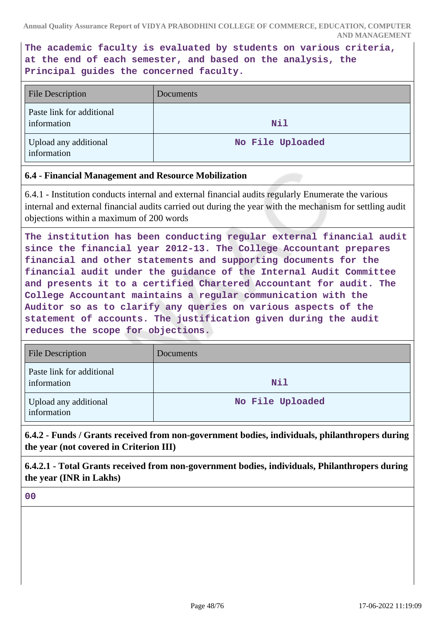**The academic faculty is evaluated by students on various criteria, at the end of each semester, and based on the analysis, the Principal guides the concerned faculty.**

| <b>File Description</b>                  | Documents        |
|------------------------------------------|------------------|
| Paste link for additional<br>information | Nil              |
| Upload any additional<br>information     | No File Uploaded |

# **6.4 - Financial Management and Resource Mobilization**

6.4.1 - Institution conducts internal and external financial audits regularly Enumerate the various internal and external financial audits carried out during the year with the mechanism for settling audit objections within a maximum of 200 words

**The institution has been conducting regular external financial audit since the financial year 2012-13. The College Accountant prepares financial and other statements and supporting documents for the financial audit under the guidance of the Internal Audit Committee and presents it to a certified Chartered Accountant for audit. The College Accountant maintains a regular communication with the Auditor so as to clarify any queries on various aspects of the statement of accounts. The justification given during the audit reduces the scope for objections.**

| <b>File Description</b>                  | Documents        |
|------------------------------------------|------------------|
| Paste link for additional<br>information | Nil              |
| Upload any additional<br>information     | No File Uploaded |

**6.4.2 - Funds / Grants received from non-government bodies, individuals, philanthropers during the year (not covered in Criterion III)**

**6.4.2.1 - Total Grants received from non-government bodies, individuals, Philanthropers during the year (INR in Lakhs)**

**00**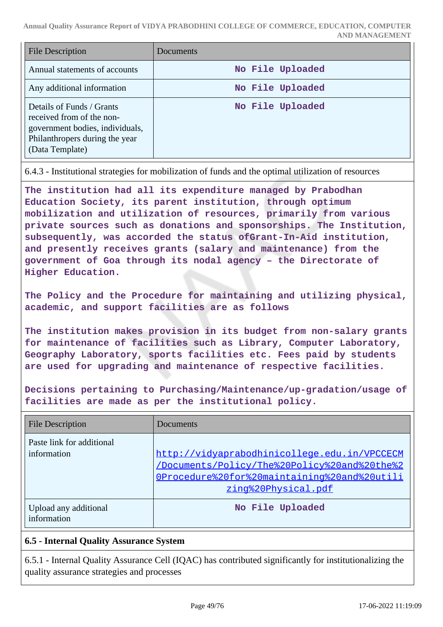| <b>File Description</b>                                                                                                                        | Documents        |
|------------------------------------------------------------------------------------------------------------------------------------------------|------------------|
| Annual statements of accounts                                                                                                                  | No File Uploaded |
| Any additional information                                                                                                                     | No File Uploaded |
| Details of Funds / Grants<br>received from of the non-<br>government bodies, individuals,<br>Philanthropers during the year<br>(Data Template) | No File Uploaded |

6.4.3 - Institutional strategies for mobilization of funds and the optimal utilization of resources

**The institution had all its expenditure managed by Prabodhan Education Society, its parent institution, through optimum mobilization and utilization of resources, primarily from various private sources such as donations and sponsorships. The Institution, subsequently, was accorded the status ofGrant-In-Aid institution, and presently receives grants (salary and maintenance) from the government of Goa through its nodal agency – the Directorate of Higher Education.**

**The Policy and the Procedure for maintaining and utilizing physical, academic, and support facilities are as follows**

**The institution makes provision in its budget from non-salary grants for maintenance of facilities such as Library, Computer Laboratory, Geography Laboratory, sports facilities etc. Fees paid by students are used for upgrading and maintenance of respective facilities.**

**Decisions pertaining to Purchasing/Maintenance/up-gradation/usage of facilities are made as per the institutional policy.**

| <b>File Description</b>                  | Documents                                                                                                                                                           |
|------------------------------------------|---------------------------------------------------------------------------------------------------------------------------------------------------------------------|
| Paste link for additional<br>information | http://vidyaprabodhinicollege.edu.in/VPCCECM<br>/Documents/Policy/The%20Policy%20and%20the%2<br>OProcedure%20for%20maintaining%20and%20utili<br>zing%20Physical.pdf |
| Upload any additional<br>information     | No File Uploaded                                                                                                                                                    |

# **6.5 - Internal Quality Assurance System**

6.5.1 - Internal Quality Assurance Cell (IQAC) has contributed significantly for institutionalizing the quality assurance strategies and processes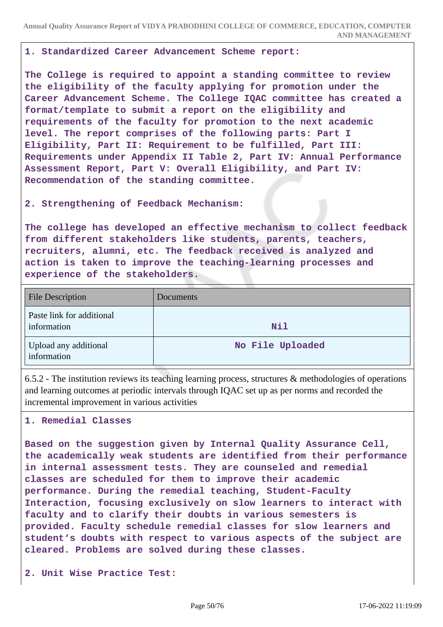#### **1. Standardized Career Advancement Scheme report:**

**The College is required to appoint a standing committee to review the eligibility of the faculty applying for promotion under the Career Advancement Scheme. The College IQAC committee has created a format/template to submit a report on the eligibility and requirements of the faculty for promotion to the next academic level. The report comprises of the following parts: Part I Eligibility, Part II: Requirement to be fulfilled, Part III: Requirements under Appendix II Table 2, Part IV: Annual Performance Assessment Report, Part V: Overall Eligibility, and Part IV: Recommendation of the standing committee.**

# **2. Strengthening of Feedback Mechanism:**

**The college has developed an effective mechanism to collect feedback from different stakeholders like students, parents, teachers, recruiters, alumni, etc. The feedback received is analyzed and action is taken to improve the teaching-learning processes and experience of the stakeholders.**

| <b>File Description</b>                  | Documents        |
|------------------------------------------|------------------|
| Paste link for additional<br>information | Nil              |
| Upload any additional<br>information     | No File Uploaded |

6.5.2 - The institution reviews its teaching learning process, structures & methodologies of operations and learning outcomes at periodic intervals through IQAC set up as per norms and recorded the incremental improvement in various activities

#### **1. Remedial Classes**

**Based on the suggestion given by Internal Quality Assurance Cell, the academically weak students are identified from their performance in internal assessment tests. They are counseled and remedial classes are scheduled for them to improve their academic performance. During the remedial teaching, Student-Faculty Interaction, focusing exclusively on slow learners to interact with faculty and to clarify their doubts in various semesters is provided. Faculty schedule remedial classes for slow learners and student's doubts with respect to various aspects of the subject are cleared. Problems are solved during these classes.**

**2. Unit Wise Practice Test:**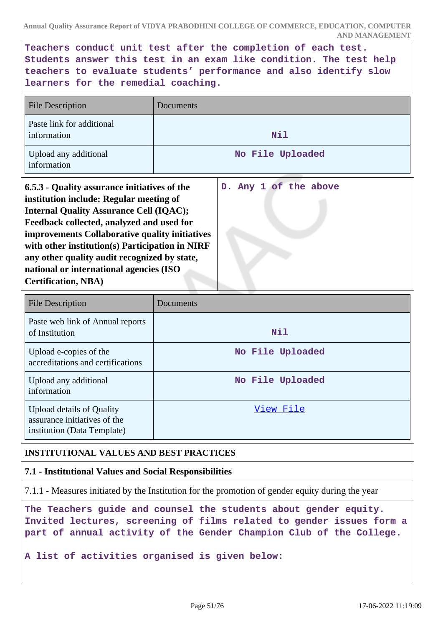**Teachers conduct unit test after the completion of each test. Students answer this test in an exam like condition. The test help teachers to evaluate students' performance and also identify slow learners for the remedial coaching.**

| <b>File Description</b>                                                                                                                                                                                                                                                                                                                                                                                              | Documents |                       |
|----------------------------------------------------------------------------------------------------------------------------------------------------------------------------------------------------------------------------------------------------------------------------------------------------------------------------------------------------------------------------------------------------------------------|-----------|-----------------------|
| Paste link for additional<br>information                                                                                                                                                                                                                                                                                                                                                                             |           | Nil                   |
| Upload any additional<br>information                                                                                                                                                                                                                                                                                                                                                                                 |           | No File Uploaded      |
| 6.5.3 - Quality assurance initiatives of the<br>institution include: Regular meeting of<br><b>Internal Quality Assurance Cell (IQAC);</b><br>Feedback collected, analyzed and used for<br>improvements Collaborative quality initiatives<br>with other institution(s) Participation in NIRF<br>any other quality audit recognized by state,<br>national or international agencies (ISO<br><b>Certification, NBA)</b> |           | D. Any 1 of the above |

| <b>File Description</b>                                                                         | Documents        |
|-------------------------------------------------------------------------------------------------|------------------|
| Paste web link of Annual reports<br>of Institution                                              | Nil              |
| Upload e-copies of the<br>accreditations and certifications                                     | No File Uploaded |
| Upload any additional<br>information                                                            | No File Uploaded |
| <b>Upload details of Quality</b><br>assurance initiatives of the<br>institution (Data Template) | View File        |

# **INSTITUTIONAL VALUES AND BEST PRACTICES**

# **7.1 - Institutional Values and Social Responsibilities**

7.1.1 - Measures initiated by the Institution for the promotion of gender equity during the year

**The Teachers guide and counsel the students about gender equity. Invited lectures, screening of films related to gender issues form a part of annual activity of the Gender Champion Club of the College.**

**A list of activities organised is given below:**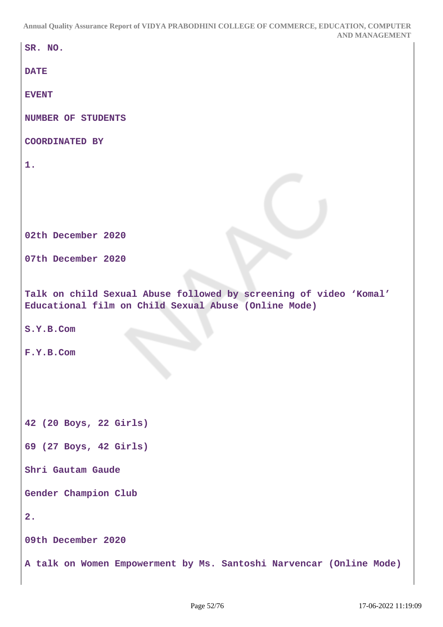```
SR. NO.
DATE
EVENT
NUMBER OF STUDENTS
COORDINATED BY
1.
02th December 2020
07th December 2020
Talk on child Sexual Abuse followed by screening of video 'Komal'
Educational film on Child Sexual Abuse (Online Mode)
S.Y.B.Com
F.Y.B.Com
42 (20 Boys, 22 Girls)
69 (27 Boys, 42 Girls)
Shri Gautam Gaude
Gender Champion Club
2.
09th December 2020
A talk on Women Empowerment by Ms. Santoshi Narvencar (Online Mode)
```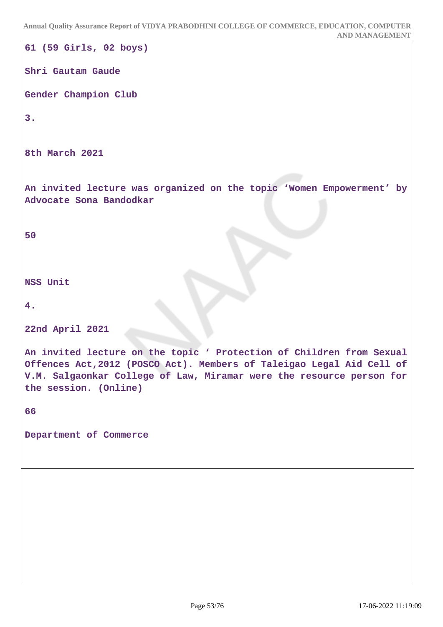**61 (59 Girls, 02 boys) Shri Gautam Gaude Gender Champion Club 3. 8th March 2021 An invited lecture was organized on the topic 'Women Empowerment' by Advocate Sona Bandodkar 50 NSS Unit 4. 22nd April 2021 An invited lecture on the topic ' Protection of Children from Sexual Offences Act,2012 (POSCO Act). Members of Taleigao Legal Aid Cell of V.M. Salgaonkar College of Law, Miramar were the resource person for the session. (Online) 66 Department of Commerce**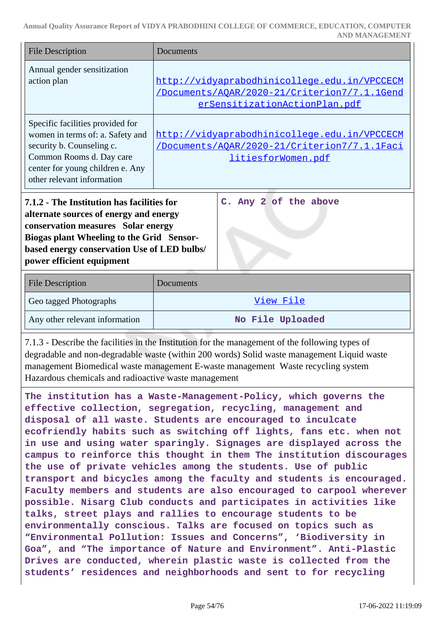| <b>File Description</b>                                                                                                                                                                                                                                                      | Documents                                                                                                                     |  |
|------------------------------------------------------------------------------------------------------------------------------------------------------------------------------------------------------------------------------------------------------------------------------|-------------------------------------------------------------------------------------------------------------------------------|--|
| Annual gender sensitization<br>action plan                                                                                                                                                                                                                                   | http://vidyaprabodhinicollege.edu.in/VPCCECM<br>/Documents/AOAR/2020-21/Criterion7/7.1.1Gend<br>erSensitizationActionPlan.pdf |  |
| Specific facilities provided for<br>women in terms of: a. Safety and<br>security b. Counseling c.<br>Common Rooms d. Day care<br>center for young children e. Any<br>other relevant information                                                                              | http://vidyaprabodhinicollege.edu.in/VPCCECM<br><u>/Documents/AQAR/2020-21/Criterion7/7.1.1Faci</u><br>litiesforWomen.pdf     |  |
| 7.1.2 - The Institution has facilities for<br>C. Any 2 of the above<br>alternate sources of energy and energy<br>conservation measures Solar energy<br>Biogas plant Wheeling to the Grid Sensor-<br>based energy conservation Use of LED bulbs/<br>power efficient equipment |                                                                                                                               |  |
| <b>File Description</b>                                                                                                                                                                                                                                                      | Documents                                                                                                                     |  |
| Geo tagged Photographs                                                                                                                                                                                                                                                       | View File                                                                                                                     |  |
| Any other relevant information                                                                                                                                                                                                                                               | No File Uploaded                                                                                                              |  |
| 7.1.3 - Describe the facilities in the Institution for the management of the following types of                                                                                                                                                                              |                                                                                                                               |  |

degradable and non-degradable waste (within 200 words) Solid waste management Liquid waste management Biomedical waste management E-waste management Waste recycling system Hazardous chemicals and radioactive waste management

**The institution has a Waste-Management-Policy, which governs the effective collection, segregation, recycling, management and disposal of all waste. Students are encouraged to inculcate ecofriendly habits such as switching off lights, fans etc. when not in use and using water sparingly. Signages are displayed across the campus to reinforce this thought in them The institution discourages the use of private vehicles among the students. Use of public transport and bicycles among the faculty and students is encouraged. Faculty members and students are also encouraged to carpool wherever possible. Nisarg Club conducts and participates in activities like talks, street plays and rallies to encourage students to be environmentally conscious. Talks are focused on topics such as "Environmental Pollution: Issues and Concerns", 'Biodiversity in Goa", and "The importance of Nature and Environment". Anti-Plastic Drives are conducted, wherein plastic waste is collected from the students' residences and neighborhoods and sent to for recycling**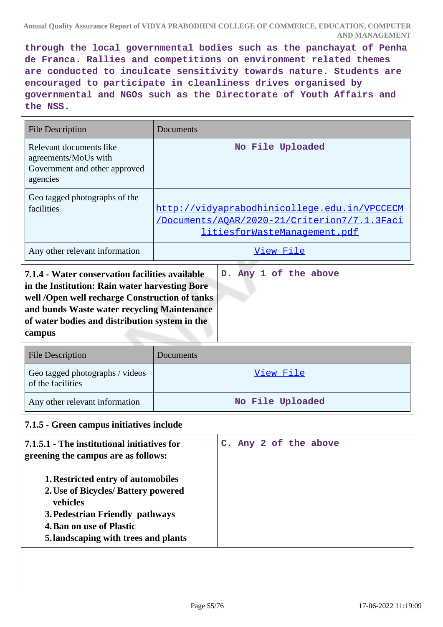**through the local governmental bodies such as the panchayat of Penha de Franca. Rallies and competitions on environment related themes are conducted to inculcate sensitivity towards nature. Students are encouraged to participate in cleanliness drives organised by governmental and NGOs such as the Directorate of Youth Affairs and the NSS.**

| No File Uploaded                                                                                                             |
|------------------------------------------------------------------------------------------------------------------------------|
|                                                                                                                              |
| http://vidyaprabodhinicollege.edu.in/VPCCECM<br>/Documents/AOAR/2020-21/Criterion7/7.1.3Faci<br>litiesforWasteManagement.pdf |
| View File                                                                                                                    |
| 7.1.4 - Water conservation facilities available                                                                              |

| 7.1.4 - Water conservation facilities available |
|-------------------------------------------------|
| in the Institution: Rain water harvesting Bore  |
| well /Open well recharge Construction of tanks  |
| and bunds Waste water recycling Maintenance     |
| of water bodies and distribution system in the  |
| campus                                          |

| <b>File Description</b>                              | Documents        |
|------------------------------------------------------|------------------|
| Geo tagged photographs / videos<br>of the facilities | View File        |
| Any other relevant information                       | No File Uploaded |

# **7.1.5 - Green campus initiatives include**

| 7.1.5.1 - The institutional initiatives for<br>greening the campus are as follows:                                                                                                                                | C. Any 2 of the above |
|-------------------------------------------------------------------------------------------------------------------------------------------------------------------------------------------------------------------|-----------------------|
| <b>1. Restricted entry of automobiles</b><br>2. Use of Bicycles/ Battery powered<br><b>vehicles</b><br>3. Pedestrian Friendly pathways<br><b>4. Ban on use of Plastic</b><br>5. landscaping with trees and plants |                       |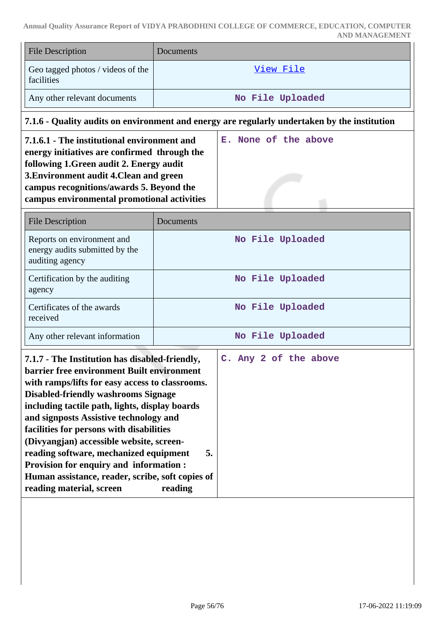| <b>File Description</b>                         | <b>Documents</b> |
|-------------------------------------------------|------------------|
| Geo tagged photos / videos of the<br>facilities | View File        |
| Any other relevant documents                    | No File Uploaded |

# **7.1.6 - Quality audits on environment and energy are regularly undertaken by the institution**

| 7.1.6.1 - The institutional environment and<br>energy initiatives are confirmed through the | E. None of the above |
|---------------------------------------------------------------------------------------------|----------------------|
| following 1. Green audit 2. Energy audit<br>3. Environment audit 4. Clean and green         |                      |
| campus recognitions/awards 5. Beyond the<br>campus environmental promotional activities     |                      |

| <b>File Description</b>                                                         | Documents        |
|---------------------------------------------------------------------------------|------------------|
| Reports on environment and<br>energy audits submitted by the<br>auditing agency | No File Uploaded |
| Certification by the auditing<br>agency                                         | No File Uploaded |
| Certificates of the awards<br>received                                          | No File Uploaded |
| Any other relevant information                                                  | No File Uploaded |

| 7.1.7 - The Institution has disabled-friendly,<br>barrier free environment Built environment<br>with ramps/lifts for easy access to classrooms.<br><b>Disabled-friendly washrooms Signage</b><br>including tactile path, lights, display boards<br>and signposts Assistive technology and<br>facilities for persons with disabilities<br>(Divyangjan) accessible website, screen-<br>reading software, mechanized equipment<br>5.<br><b>Provision for enquiry and information:</b><br>Human assistance, reader, scribe, soft copies of |  |  | C. Any 2 of the above |
|----------------------------------------------------------------------------------------------------------------------------------------------------------------------------------------------------------------------------------------------------------------------------------------------------------------------------------------------------------------------------------------------------------------------------------------------------------------------------------------------------------------------------------------|--|--|-----------------------|
| reading material, screen<br>reading                                                                                                                                                                                                                                                                                                                                                                                                                                                                                                    |  |  |                       |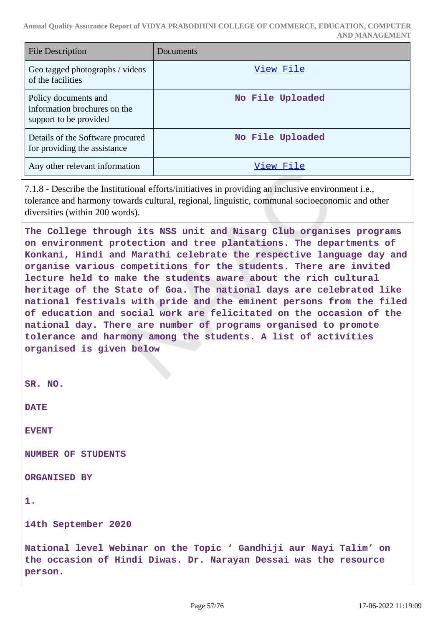| File Description                                                               | Documents        |
|--------------------------------------------------------------------------------|------------------|
| Geo tagged photographs / videos<br>of the facilities                           | View File        |
| Policy documents and<br>information brochures on the<br>support to be provided | No File Uploaded |
| Details of the Software procured<br>for providing the assistance               | No File Uploaded |
| Any other relevant information                                                 | View File        |

7.1.8 - Describe the Institutional efforts/initiatives in providing an inclusive environment i.e., tolerance and harmony towards cultural, regional, linguistic, communal socioeconomic and other diversities (within 200 words).

**The College through its NSS unit and Nisarg Club organises programs on environment protection and tree plantations. The departments of Konkani, Hindi and Marathi celebrate the respective language day and organise various competitions for the students. There are invited lecture held to make the students aware about the rich cultural heritage of the State of Goa. The national days are celebrated like national festivals with pride and the eminent persons from the filed of education and social work are felicitated on the occasion of the national day. There are number of programs organised to promote tolerance and harmony among the students. A list of activities organised is given below**

```
SR. NO.
```
**DATE**

**EVENT**

**NUMBER OF STUDENTS**

**ORGANISED BY**

```
1.
```
**14th September 2020**

**National level Webinar on the Topic ' Gandhiji aur Nayi Talim' on the occasion of Hindi Diwas. Dr. Narayan Dessai was the resource person.**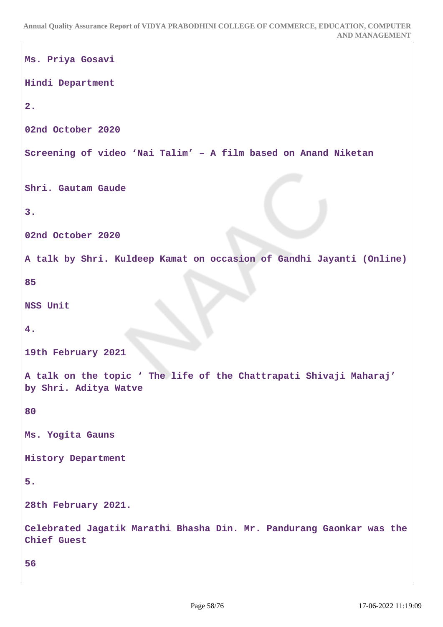```
Ms. Priya Gosavi
Hindi Department
2.
02nd October 2020
Screening of video 'Nai Talim' – A film based on Anand Niketan
Shri. Gautam Gaude
3.
02nd October 2020
A talk by Shri. Kuldeep Kamat on occasion of Gandhi Jayanti (Online)
85
NSS Unit
4.
19th February 2021
A talk on the topic ' The life of the Chattrapati Shivaji Maharaj'
by Shri. Aditya Watve
80
Ms. Yogita Gauns
History Department
5.
28th February 2021.
Celebrated Jagatik Marathi Bhasha Din. Mr. Pandurang Gaonkar was the
Chief Guest
56
```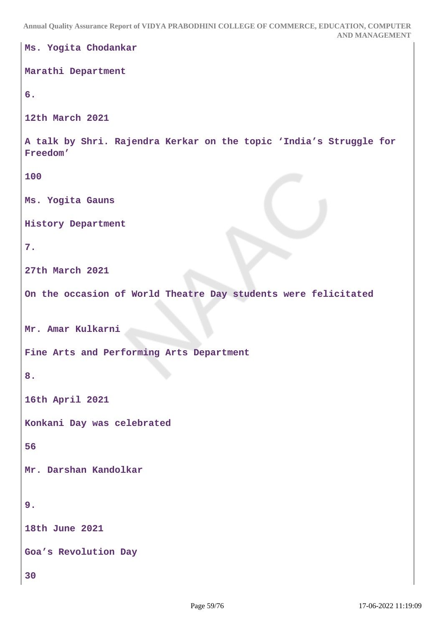```
Ms. Yogita Chodankar
Marathi Department
6.
12th March 2021
A talk by Shri. Rajendra Kerkar on the topic 'India's Struggle for
Freedom'
100
Ms. Yogita Gauns
History Department
7.
27th March 2021
On the occasion of World Theatre Day students were felicitated
Mr. Amar Kulkarni
Fine Arts and Performing Arts Department
8.
16th April 2021
Konkani Day was celebrated
56
Mr. Darshan Kandolkar
9.
18th June 2021
Goa's Revolution Day
30
```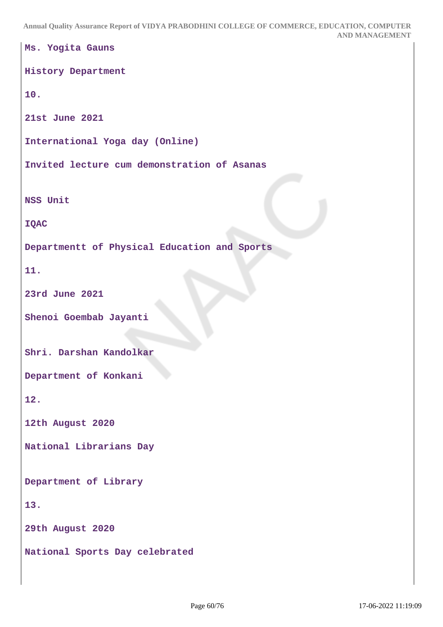```
Ms. Yogita Gauns
History Department
10.
21st June 2021
International Yoga day (Online)
Invited lecture cum demonstration of Asanas
NSS Unit
IQAC
Departmentt of Physical Education and Sports
11.
23rd June 2021
Shenoi Goembab Jayanti
Shri. Darshan Kandolkar
Department of Konkani
12.
12th August 2020
National Librarians Day
Department of Library
13.
29th August 2020
National Sports Day celebrated
```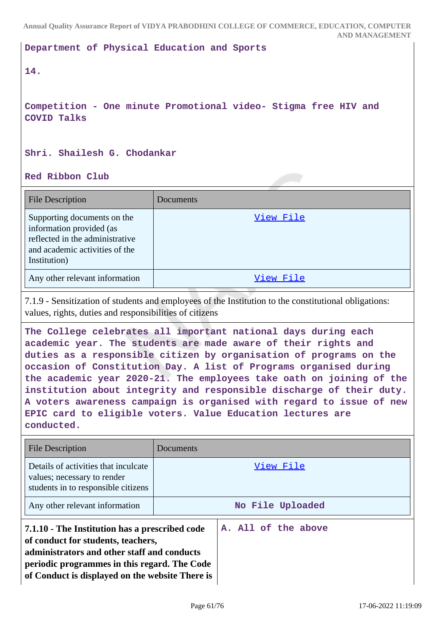**Department of Physical Education and Sports**

# **14.**

**Competition - One minute Promotional video- Stigma free HIV and COVID Talks**

### **Shri. Shailesh G. Chodankar**

**Red Ribbon Club**

| <b>File Description</b>                                                                                                                      | Documents |
|----------------------------------------------------------------------------------------------------------------------------------------------|-----------|
| Supporting documents on the<br>information provided (as<br>reflected in the administrative<br>and academic activities of the<br>Institution) | View File |
| Any other relevant information                                                                                                               | View File |

7.1.9 - Sensitization of students and employees of the Institution to the constitutional obligations: values, rights, duties and responsibilities of citizens

**The College celebrates all important national days during each academic year. The students are made aware of their rights and duties as a responsible citizen by organisation of programs on the occasion of Constitution Day. A list of Programs organised during the academic year 2020-21. The employees take oath on joining of the institution about integrity and responsible discharge of their duty. A voters awareness campaign is organised with regard to issue of new EPIC card to eligible voters. Value Education lectures are conducted.**

| <b>File Description</b>                                                                                                                                                                                                                | Documents        |                     |  |  |  |
|----------------------------------------------------------------------------------------------------------------------------------------------------------------------------------------------------------------------------------------|------------------|---------------------|--|--|--|
| Details of activities that inculcate<br>values; necessary to render<br>students in to responsible citizens                                                                                                                             |                  | View File           |  |  |  |
| Any other relevant information                                                                                                                                                                                                         | No File Uploaded |                     |  |  |  |
| 7.1.10 - The Institution has a prescribed code<br>of conduct for students, teachers,<br>administrators and other staff and conducts<br>periodic programmes in this regard. The Code<br>of Conduct is displayed on the website There is |                  | A. All of the above |  |  |  |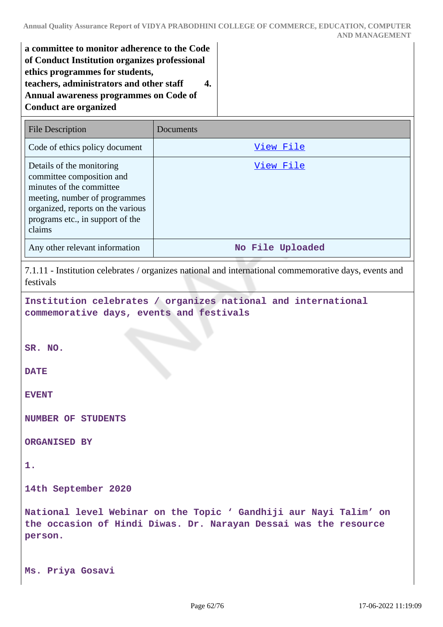| a committee to monitor adherence to the Code  |  |
|-----------------------------------------------|--|
| of Conduct Institution organizes professional |  |
| ethics programmes for students,               |  |
| teachers, administrators and other staff      |  |
| Annual awareness programmes on Code of        |  |
| <b>Conduct are organized</b>                  |  |
|                                               |  |

| <b>File Description</b>                                                                                                                                                                                | Documents        |
|--------------------------------------------------------------------------------------------------------------------------------------------------------------------------------------------------------|------------------|
| Code of ethics policy document                                                                                                                                                                         | View File        |
| Details of the monitoring<br>committee composition and<br>minutes of the committee<br>meeting, number of programmes<br>organized, reports on the various<br>programs etc., in support of the<br>claims | View File        |
| Any other relevant information                                                                                                                                                                         | No File Uploaded |

7.1.11 - Institution celebrates / organizes national and international commemorative days, events and festivals

**Institution celebrates / organizes national and international commemorative days, events and festivals**

**SR. NO.**

**DATE**

**EVENT**

**NUMBER OF STUDENTS**

**ORGANISED BY**

**1.**

**14th September 2020**

**National level Webinar on the Topic ' Gandhiji aur Nayi Talim' on the occasion of Hindi Diwas. Dr. Narayan Dessai was the resource person.**

**Ms. Priya Gosavi**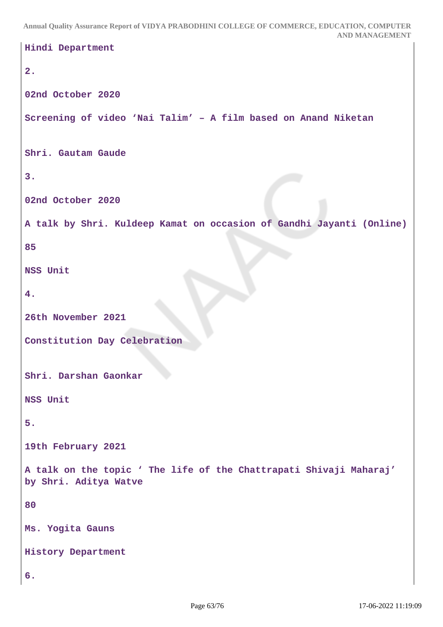```
Hindi Department
2.
02nd October 2020
Screening of video 'Nai Talim' – A film based on Anand Niketan
Shri. Gautam Gaude
3.
02nd October 2020
A talk by Shri. Kuldeep Kamat on occasion of Gandhi Jayanti (Online)
85
NSS Unit
4.
26th November 2021
Constitution Day Celebration
Shri. Darshan Gaonkar
NSS Unit
5.
19th February 2021
A talk on the topic ' The life of the Chattrapati Shivaji Maharaj'
by Shri. Aditya Watve
80
Ms. Yogita Gauns
History Department
6.
```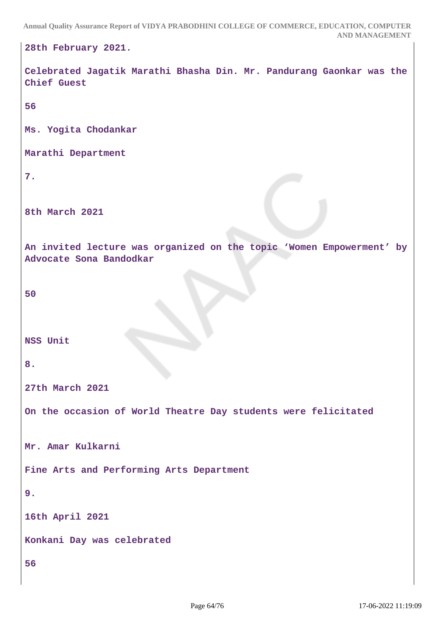```
28th February 2021.
Celebrated Jagatik Marathi Bhasha Din. Mr. Pandurang Gaonkar was the
Chief Guest
56
Ms. Yogita Chodankar
Marathi Department
7.
8th March 2021
An invited lecture was organized on the topic 'Women Empowerment' by
Advocate Sona Bandodkar
50
NSS Unit
8.
27th March 2021
On the occasion of World Theatre Day students were felicitated
Mr. Amar Kulkarni
Fine Arts and Performing Arts Department
9.
16th April 2021
Konkani Day was celebrated
56
```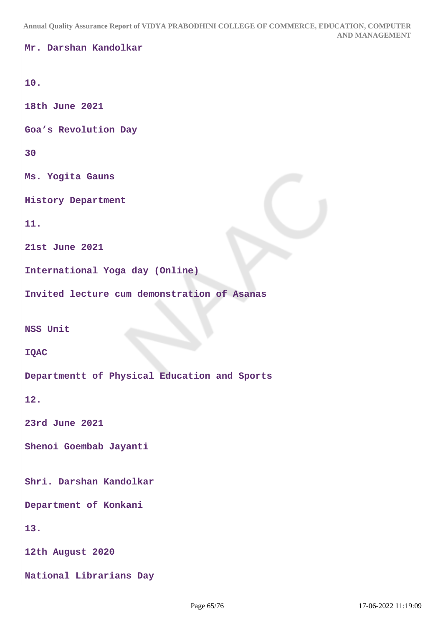```
Mr. Darshan Kandolkar
10.
18th June 2021
Goa's Revolution Day
30
Ms. Yogita Gauns
History Department
11.
21st June 2021
International Yoga day (Online)
Invited lecture cum demonstration of Asanas
NSS Unit
IQAC
Departmentt of Physical Education and Sports
12.
23rd June 2021
Shenoi Goembab Jayanti
Shri. Darshan Kandolkar
Department of Konkani
13.
12th August 2020
National Librarians Day
```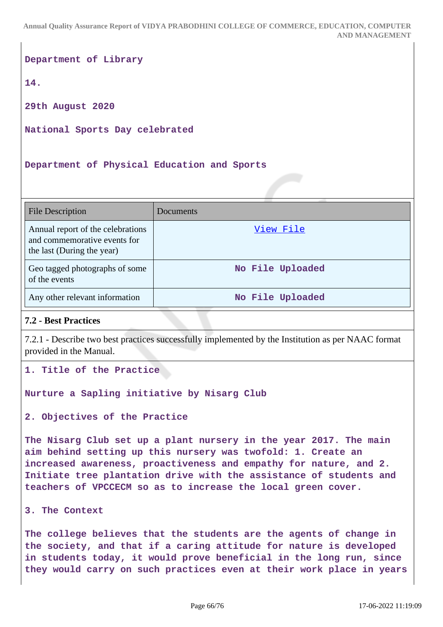**Department of Library**

**14.**

**29th August 2020**

**National Sports Day celebrated**

**Department of Physical Education and Sports**

| <b>File Description</b>                                                                         | Documents        |
|-------------------------------------------------------------------------------------------------|------------------|
| Annual report of the celebrations<br>and commemorative events for<br>the last (During the year) | View File        |
| Geo tagged photographs of some<br>of the events                                                 | No File Uploaded |
| Any other relevant information                                                                  | No File Uploaded |

# **7.2 - Best Practices**

7.2.1 - Describe two best practices successfully implemented by the Institution as per NAAC format provided in the Manual.

**1. Title of the Practice** 

**Nurture a Sapling initiative by Nisarg Club**

**2. Objectives of the Practice** 

**The Nisarg Club set up a plant nursery in the year 2017. The main aim behind setting up this nursery was twofold: 1. Create an increased awareness, proactiveness and empathy for nature, and 2. Initiate tree plantation drive with the assistance of students and teachers of VPCCECM so as to increase the local green cover.**

**3. The Context** 

**The college believes that the students are the agents of change in the society, and that if a caring attitude for nature is developed in students today, it would prove beneficial in the long run, since they would carry on such practices even at their work place in years**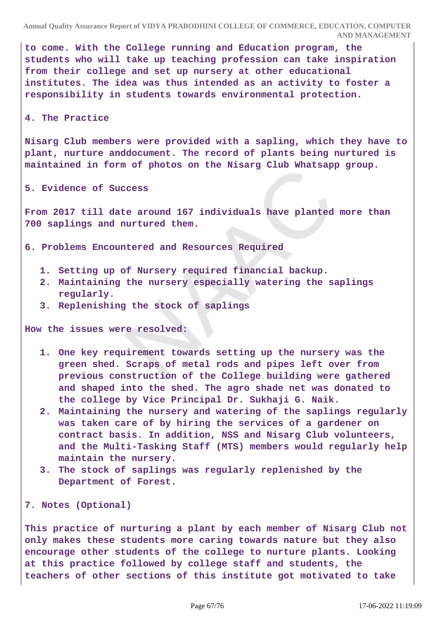**to come. With the College running and Education program, the students who will take up teaching profession can take inspiration from their college and set up nursery at other educational institutes. The idea was thus intended as an activity to foster a responsibility in students towards environmental protection.**

#### **4. The Practice**

**Nisarg Club members were provided with a sapling, which they have to plant, nurture anddocument. The record of plants being nurtured is maintained in form of photos on the Nisarg Club Whatsapp group.**

#### **5. Evidence of Success**

**From 2017 till date around 167 individuals have planted more than 700 saplings and nurtured them.**

**6. Problems Encountered and Resources Required** 

- **1. Setting up of Nursery required financial backup.**
- **2. Maintaining the nursery especially watering the saplings regularly.**
- **3. Replenishing the stock of saplings**

**How the issues were resolved:** 

- **1. One key requirement towards setting up the nursery was the green shed. Scraps of metal rods and pipes left over from previous construction of the College building were gathered and shaped into the shed. The agro shade net was donated to the college by Vice Principal Dr. Sukhaji G. Naik.**
- **2. Maintaining the nursery and watering of the saplings regularly was taken care of by hiring the services of a gardener on contract basis. In addition, NSS and Nisarg Club volunteers, and the Multi-Tasking Staff (MTS) members would regularly help maintain the nursery.**
- **3. The stock of saplings was regularly replenished by the Department of Forest.**

**7. Notes (Optional)** 

**This practice of nurturing a plant by each member of Nisarg Club not only makes these students more caring towards nature but they also encourage other students of the college to nurture plants. Looking at this practice followed by college staff and students, the teachers of other sections of this institute got motivated to take**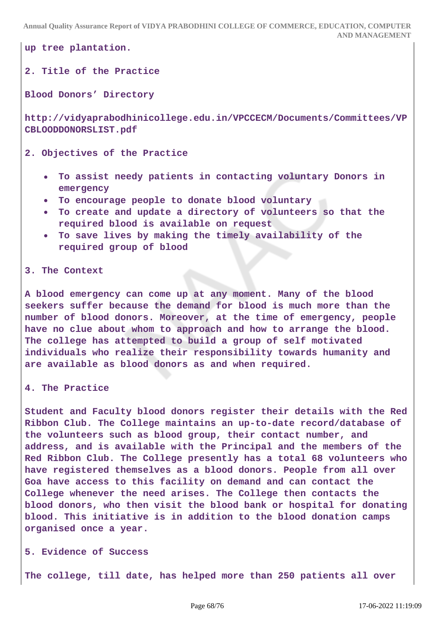**up tree plantation.**

### **2. Title of the Practice**

**Blood Donors' Directory**

**http://vidyaprabodhinicollege.edu.in/VPCCECM/Documents/Committees/VP CBLOODDONORSLIST.pdf**

**2. Objectives of the Practice** 

- **To assist needy patients in contacting voluntary Donors in emergency**
- **To encourage people to donate blood voluntary**
- **To create and update a directory of volunteers so that the required blood is available on request**
- **To save lives by making the timely availability of the required group of blood**

#### **3. The Context**

**A blood emergency can come up at any moment. Many of the blood seekers suffer because the demand for blood is much more than the number of blood donors. Moreover, at the time of emergency, people have no clue about whom to approach and how to arrange the blood. The college has attempted to build a group of self motivated individuals who realize their responsibility towards humanity and are available as blood donors as and when required.**

**4. The Practice** 

**Student and Faculty blood donors register their details with the Red Ribbon Club. The College maintains an up-to-date record/database of the volunteers such as blood group, their contact number, and address, and is available with the Principal and the members of the Red Ribbon Club. The College presently has a total 68 volunteers who have registered themselves as a blood donors. People from all over Goa have access to this facility on demand and can contact the College whenever the need arises. The College then contacts the blood donors, who then visit the blood bank or hospital for donating blood. This initiative is in addition to the blood donation camps organised once a year.**

#### **5. Evidence of Success**

**The college, till date, has helped more than 250 patients all over**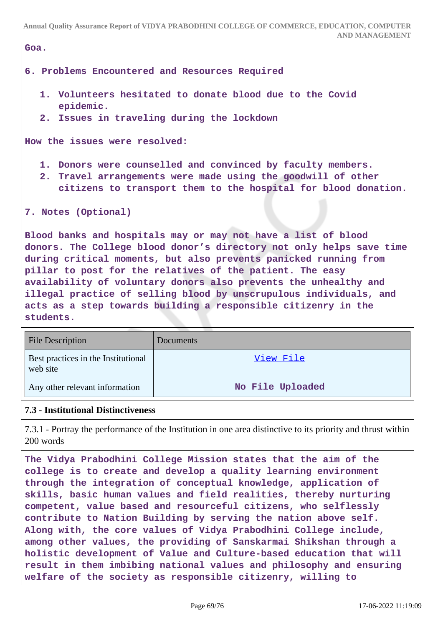| Goa.                                                                                                                                                                                                                                                                                                                                       |
|--------------------------------------------------------------------------------------------------------------------------------------------------------------------------------------------------------------------------------------------------------------------------------------------------------------------------------------------|
| 6. Problems Encountered and Resources Required                                                                                                                                                                                                                                                                                             |
| 1. Volunteers hesitated to donate blood due to the Covid<br>epidemic.                                                                                                                                                                                                                                                                      |
| 2. Issues in traveling during the lockdown                                                                                                                                                                                                                                                                                                 |
| How the issues were resolved:                                                                                                                                                                                                                                                                                                              |
| 1. Donors were counselled and convinced by faculty members.<br>2. Travel arrangements were made using the goodwill of other                                                                                                                                                                                                                |
| citizens to transport them to the hospital for blood donation.                                                                                                                                                                                                                                                                             |
| 7. Notes (Optional)                                                                                                                                                                                                                                                                                                                        |
| Blood banks and hospitals may or may not have a list of blood<br>donors. The College blood donor's directory not only helps save time<br>during critical moments, but also prevents panicked running from<br>pillar to post for the relatives of the patient. The easy<br>availability of voluntary donors also prevents the unhealthy and |
| illegal practice of selling blood by unscrupulous individuals, and                                                                                                                                                                                                                                                                         |
| acts as a step towards building a responsible citizenry in the<br>students.                                                                                                                                                                                                                                                                |

| <b>File Description</b>                         | Documents        |
|-------------------------------------------------|------------------|
| Best practices in the Institutional<br>web site | View File        |
| Any other relevant information                  | No File Uploaded |

#### **7.3 - Institutional Distinctiveness**

7.3.1 - Portray the performance of the Institution in one area distinctive to its priority and thrust within 200 words

**The Vidya Prabodhini College Mission states that the aim of the college is to create and develop a quality learning environment through the integration of conceptual knowledge, application of skills, basic human values and field realities, thereby nurturing competent, value based and resourceful citizens, who selflessly contribute to Nation Building by serving the nation above self. Along with, the core values of Vidya Prabodhini College include, among other values, the providing of Sanskarmai Shikshan through a holistic development of Value and Culture-based education that will result in them imbibing national values and philosophy and ensuring welfare of the society as responsible citizenry, willing to**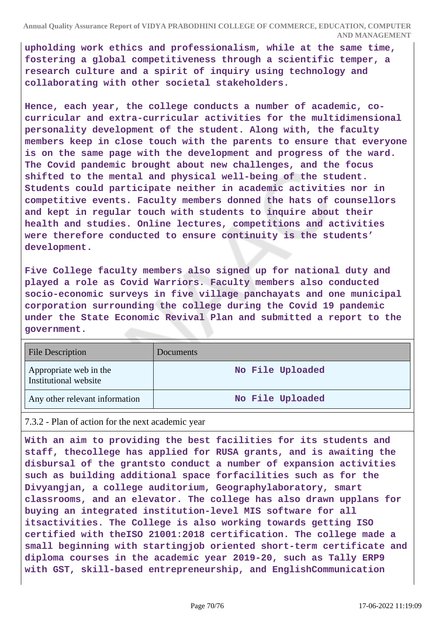**upholding work ethics and professionalism, while at the same time, fostering a global competitiveness through a scientific temper, a research culture and a spirit of inquiry using technology and collaborating with other societal stakeholders.**

**Hence, each year, the college conducts a number of academic, cocurricular and extra-curricular activities for the multidimensional personality development of the student. Along with, the faculty members keep in close touch with the parents to ensure that everyone is on the same page with the development and progress of the ward. The Covid pandemic brought about new challenges, and the focus shifted to the mental and physical well-being of the student. Students could participate neither in academic activities nor in competitive events. Faculty members donned the hats of counsellors and kept in regular touch with students to inquire about their health and studies. Online lectures, competitions and activities were therefore conducted to ensure continuity is the students' development.**

**Five College faculty members also signed up for national duty and played a role as Covid Warriors. Faculty members also conducted socio-economic surveys in five village panchayats and one municipal corporation surrounding the college during the Covid 19 pandemic under the State Economic Revival Plan and submitted a report to the government.**

| <b>File Description</b>                         | Documents        |
|-------------------------------------------------|------------------|
| Appropriate web in the<br>Institutional website | No File Uploaded |
| Any other relevant information                  | No File Uploaded |

7.3.2 - Plan of action for the next academic year

**With an aim to providing the best facilities for its students and staff, thecollege has applied for RUSA grants, and is awaiting the disbursal of the grantsto conduct a number of expansion activities such as building additional space forfacilities such as for the Divyangjan, a college auditorium, Geographylaboratory, smart classrooms, and an elevator. The college has also drawn upplans for buying an integrated institution-level MIS software for all itsactivities. The College is also working towards getting ISO certified with theISO 21001:2018 certification. The college made a small beginning with startingjob oriented short-term certificate and diploma courses in the academic year 2019-20, such as Tally ERP9 with GST, skill-based entrepreneurship, and EnglishCommunication**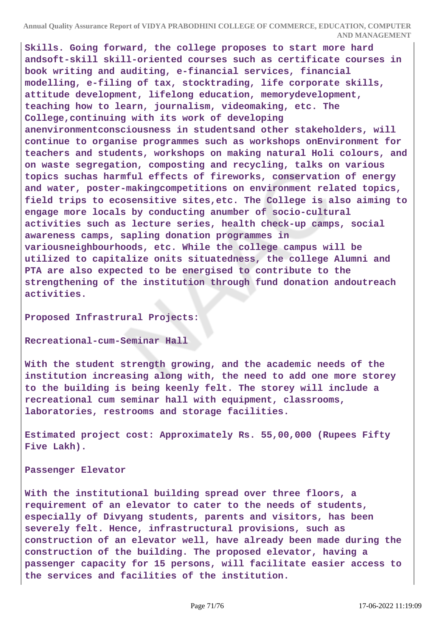**Skills. Going forward, the college proposes to start more hard andsoft-skill skill-oriented courses such as certificate courses in book writing and auditing, e-financial services, financial modelling, e-filing of tax, stocktrading, life corporate skills, attitude development, lifelong education, memorydevelopment, teaching how to learn, journalism, videomaking, etc. The College,continuing with its work of developing anenvironmentconsciousness in studentsand other stakeholders, will continue to organise programmes such as workshops onEnvironment for teachers and students, workshops on making natural Holi colours, and on waste segregation, composting and recycling, talks on various topics suchas harmful effects of fireworks, conservation of energy and water, poster-makingcompetitions on environment related topics, field trips to ecosensitive sites,etc. The College is also aiming to engage more locals by conducting anumber of socio-cultural activities such as lecture series, health check-up camps, social awareness camps, sapling donation programmes in variousneighbourhoods, etc. While the college campus will be utilized to capitalize onits situatedness, the college Alumni and PTA are also expected to be energised to contribute to the strengthening of the institution through fund donation andoutreach activities.**

**Proposed Infrastrural Projects:**

**Recreational-cum-Seminar Hall** 

**With the student strength growing, and the academic needs of the institution increasing along with, the need to add one more storey to the building is being keenly felt. The storey will include a recreational cum seminar hall with equipment, classrooms, laboratories, restrooms and storage facilities.**

**Estimated project cost: Approximately Rs. 55,00,000 (Rupees Fifty Five Lakh).**

**Passenger Elevator**

**With the institutional building spread over three floors, a requirement of an elevator to cater to the needs of students, especially of Divyang students, parents and visitors, has been severely felt. Hence, infrastructural provisions, such as construction of an elevator well, have already been made during the construction of the building. The proposed elevator, having a passenger capacity for 15 persons, will facilitate easier access to the services and facilities of the institution.**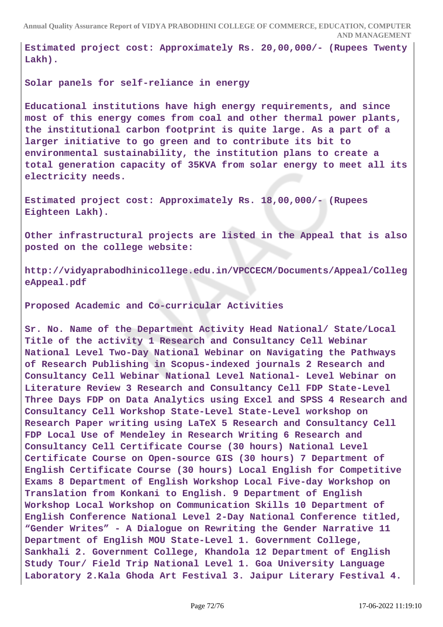**Estimated project cost: Approximately Rs. 20,00,000/- (Rupees Twenty Lakh).**

**Solar panels for self-reliance in energy** 

**Educational institutions have high energy requirements, and since most of this energy comes from coal and other thermal power plants, the institutional carbon footprint is quite large. As a part of a larger initiative to go green and to contribute its bit to environmental sustainability, the institution plans to create a total generation capacity of 35KVA from solar energy to meet all its electricity needs.**

**Estimated project cost: Approximately Rs. 18,00,000/- (Rupees Eighteen Lakh).**

**Other infrastructural projects are listed in the Appeal that is also posted on the college website:**

**http://vidyaprabodhinicollege.edu.in/VPCCECM/Documents/Appeal/Colleg eAppeal.pdf**

**Proposed Academic and Co-curricular Activities**

**Sr. No. Name of the Department Activity Head National/ State/Local Title of the activity 1 Research and Consultancy Cell Webinar National Level Two-Day National Webinar on Navigating the Pathways of Research Publishing in Scopus-indexed journals 2 Research and Consultancy Cell Webinar National Level National- Level Webinar on Literature Review 3 Research and Consultancy Cell FDP State-Level Three Days FDP on Data Analytics using Excel and SPSS 4 Research and Consultancy Cell Workshop State-Level State-Level workshop on Research Paper writing using LaTeX 5 Research and Consultancy Cell FDP Local Use of Mendeley in Research Writing 6 Research and Consultancy Cell Certificate Course (30 hours) National Level Certificate Course on Open-source GIS (30 hours) 7 Department of English Certificate Course (30 hours) Local English for Competitive Exams 8 Department of English Workshop Local Five-day Workshop on Translation from Konkani to English. 9 Department of English Workshop Local Workshop on Communication Skills 10 Department of English Conference National Level 2-Day National Conference titled, "Gender Writes" - A Dialogue on Rewriting the Gender Narrative 11 Department of English MOU State-Level 1. Government College, Sankhali 2. Government College, Khandola 12 Department of English Study Tour/ Field Trip National Level 1. Goa University Language Laboratory 2.Kala Ghoda Art Festival 3. Jaipur Literary Festival 4.**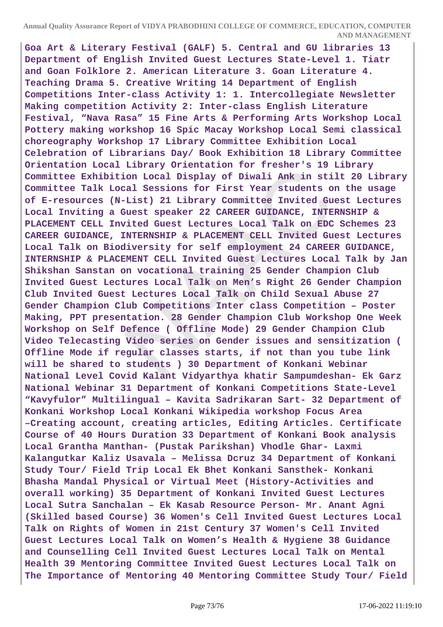**Goa Art & Literary Festival (GALF) 5. Central and GU libraries 13 Department of English Invited Guest Lectures State-Level 1. Tiatr and Goan Folklore 2. American Literature 3. Goan Literature 4. Teaching Drama 5. Creative Writing 14 Department of English Competitions Inter-class Activity 1: 1. Intercollegiate Newsletter Making competition Activity 2: Inter-class English Literature Festival, "Nava Rasa" 15 Fine Arts & Performing Arts Workshop Local Pottery making workshop 16 Spic Macay Workshop Local Semi classical choreography Workshop 17 Library Committee Exhibition Local Celebration of Librarians Day/ Book Exhibition 18 Library Committee Orientation Local Library Orientation for fresher's 19 Library Committee Exhibition Local Display of Diwali Ank in stilt 20 Library Committee Talk Local Sessions for First Year students on the usage of E-resources (N-List) 21 Library Committee Invited Guest Lectures Local Inviting a Guest speaker 22 CAREER GUIDANCE, INTERNSHIP & PLACEMENT CELL Invited Guest Lectures Local Talk on EDC Schemes 23 CAREER GUIDANCE, INTERNSHIP & PLACEMENT CELL Invited Guest Lectures Local Talk on Biodiversity for self employment 24 CAREER GUIDANCE, INTERNSHIP & PLACEMENT CELL Invited Guest Lectures Local Talk by Jan Shikshan Sanstan on vocational training 25 Gender Champion Club Invited Guest Lectures Local Talk on Men's Right 26 Gender Champion Club Invited Guest Lectures Local Talk on Child Sexual Abuse 27 Gender Champion Club Competitions Inter class Competition – Poster Making, PPT presentation. 28 Gender Champion Club Workshop One Week Workshop on Self Defence ( Offline Mode) 29 Gender Champion Club Video Telecasting Video series on Gender issues and sensitization ( Offline Mode if regular classes starts, if not than you tube link will be shared to students ) 30 Department of Konkani Webinar National Level Covid Kalant Vidyarthya khatir Sampumdeshan- Ek Garz National Webinar 31 Department of Konkani Competitions State-Level "Kavyfulor" Multilingual – Kavita Sadrikaran Sart- 32 Department of Konkani Workshop Local Konkani Wikipedia workshop Focus Area –Creating account, creating articles, Editing Articles. Certificate Course of 40 Hours Duration 33 Department of Konkani Book analysis Local Grantha Manthan- (Pustak Parikshan) Vhodle Ghar- Laxmi Kalangutkar Kaliz Usavala – Melissa Dcruz 34 Department of Konkani Study Tour/ Field Trip Local Ek Bhet Konkani Sansthek- Konkani Bhasha Mandal Physical or Virtual Meet (History-Activities and overall working) 35 Department of Konkani Invited Guest Lectures Local Sutra Sanchalan – Ek Kasab Resource Person- Mr. Anant Agni (Skilled based Course) 36 Women's Cell Invited Guest Lectures Local Talk on Rights of Women in 21st Century 37 Women's Cell Invited Guest Lectures Local Talk on Women's Health & Hygiene 38 Guidance and Counselling Cell Invited Guest Lectures Local Talk on Mental Health 39 Mentoring Committee Invited Guest Lectures Local Talk on The Importance of Mentoring 40 Mentoring Committee Study Tour/ Field**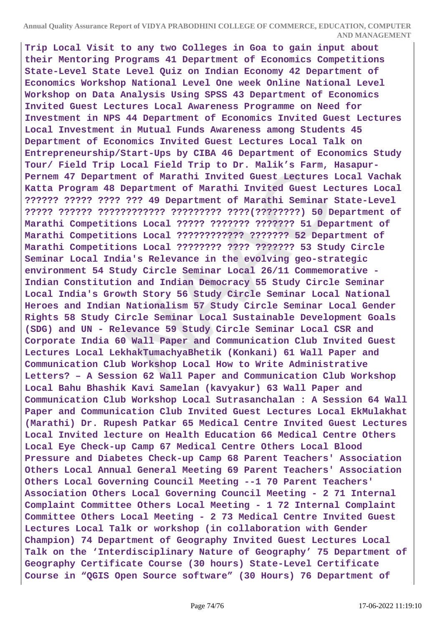**Annual Quality Assurance Report of VIDYA PRABODHINI COLLEGE OF COMMERCE, EDUCATION, COMPUTER AND MANAGEMENT**

**Trip Local Visit to any two Colleges in Goa to gain input about their Mentoring Programs 41 Department of Economics Competitions State-Level State Level Quiz on Indian Economy 42 Department of Economics Workshop National Level One week Online National Level Workshop on Data Analysis Using SPSS 43 Department of Economics Invited Guest Lectures Local Awareness Programme on Need for Investment in NPS 44 Department of Economics Invited Guest Lectures Local Investment in Mutual Funds Awareness among Students 45 Department of Economics Invited Guest Lectures Local Talk on Entrepreneurship/Start-Ups by CIBA 46 Department of Economics Study Tour/ Field Trip Local Field Trip to Dr. Malik's Farm, Hasapur-Pernem 47 Department of Marathi Invited Guest Lectures Local Vachak Katta Program 48 Department of Marathi Invited Guest Lectures Local ?????? ????? ???? ??? 49 Department of Marathi Seminar State-Level ????? ?????? ???????????? ????????? ????(????????) 50 Department of Marathi Competitions Local ????? ??????? ??????? 51 Department of Marathi Competitions Local ???????????? ??????? 52 Department of Marathi Competitions Local ???????? ???? ??????? 53 Study Circle Seminar Local India's Relevance in the evolving geo-strategic environment 54 Study Circle Seminar Local 26/11 Commemorative - Indian Constitution and Indian Democracy 55 Study Circle Seminar Local India's Growth Story 56 Study Circle Seminar Local National Heroes and Indian Nationalism 57 Study Circle Seminar Local Gender Rights 58 Study Circle Seminar Local Sustainable Development Goals (SDG) and UN - Relevance 59 Study Circle Seminar Local CSR and Corporate India 60 Wall Paper and Communication Club Invited Guest Lectures Local LekhakTumachyaBhetik (Konkani) 61 Wall Paper and Communication Club Workshop Local How to Write Administrative Letters? – A Session 62 Wall Paper and Communication Club Workshop Local Bahu Bhashik Kavi Samelan (kavyakur) 63 Wall Paper and Communication Club Workshop Local Sutrasanchalan : A Session 64 Wall Paper and Communication Club Invited Guest Lectures Local EkMulakhat (Marathi) Dr. Rupesh Patkar 65 Medical Centre Invited Guest Lectures Local Invited lecture on Health Education 66 Medical Centre Others Local Eye Check-up Camp 67 Medical Centre Others Local Blood Pressure and Diabetes Check-up Camp 68 Parent Teachers' Association Others Local Annual General Meeting 69 Parent Teachers' Association Others Local Governing Council Meeting --1 70 Parent Teachers' Association Others Local Governing Council Meeting - 2 71 Internal Complaint Committee Others Local Meeting - 1 72 Internal Complaint Committee Others Local Meeting - 2 73 Medical Centre Invited Guest Lectures Local Talk or workshop (in collaboration with Gender Champion) 74 Department of Geography Invited Guest Lectures Local Talk on the 'Interdisciplinary Nature of Geography' 75 Department of Geography Certificate Course (30 hours) State-Level Certificate Course in "QGIS Open Source software" (30 Hours) 76 Department of**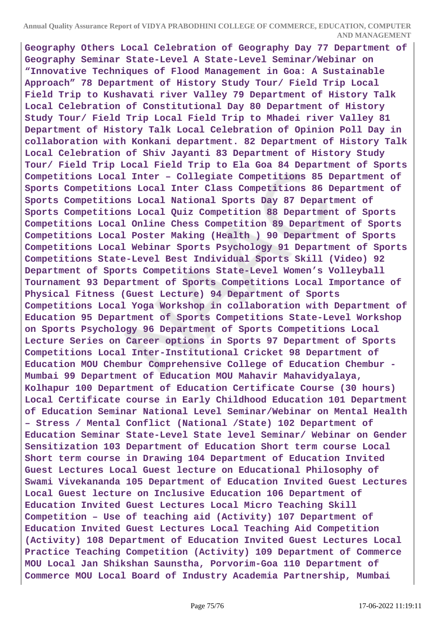**Annual Quality Assurance Report of VIDYA PRABODHINI COLLEGE OF COMMERCE, EDUCATION, COMPUTER AND MANAGEMENT**

**Geography Others Local Celebration of Geography Day 77 Department of Geography Seminar State-Level A State-Level Seminar/Webinar on "Innovative Techniques of Flood Management in Goa: A Sustainable Approach" 78 Department of History Study Tour/ Field Trip Local Field Trip to Kushavati river Valley 79 Department of History Talk Local Celebration of Constitutional Day 80 Department of History Study Tour/ Field Trip Local Field Trip to Mhadei river Valley 81 Department of History Talk Local Celebration of Opinion Poll Day in collaboration with Konkani department. 82 Department of History Talk Local Celebration of Shiv Jayanti 83 Department of History Study Tour/ Field Trip Local Field Trip to Ela Goa 84 Department of Sports Competitions Local Inter – Collegiate Competitions 85 Department of Sports Competitions Local Inter Class Competitions 86 Department of Sports Competitions Local National Sports Day 87 Department of Sports Competitions Local Quiz Competition 88 Department of Sports Competitions Local Online Chess Competition 89 Department of Sports Competitions Local Poster Making (Health ) 90 Department of Sports Competitions Local Webinar Sports Psychology 91 Department of Sports Competitions State-Level Best Individual Sports Skill (Video) 92 Department of Sports Competitions State-Level Women's Volleyball Tournament 93 Department of Sports Competitions Local Importance of Physical Fitness (Guest Lecture) 94 Department of Sports Competitions Local Yoga Workshop in collaboration with Department of Education 95 Department of Sports Competitions State-Level Workshop on Sports Psychology 96 Department of Sports Competitions Local Lecture Series on Career options in Sports 97 Department of Sports Competitions Local Inter-Institutional Cricket 98 Department of Education MOU Chembur Comprehensive College of Education Chembur - Mumbai 99 Department of Education MOU Mahavir Mahavidyalaya, Kolhapur 100 Department of Education Certificate Course (30 hours) Local Certificate course in Early Childhood Education 101 Department of Education Seminar National Level Seminar/Webinar on Mental Health – Stress / Mental Conflict (National /State) 102 Department of Education Seminar State-Level State level Seminar/ Webinar on Gender Sensitization 103 Department of Education Short term course Local Short term course in Drawing 104 Department of Education Invited Guest Lectures Local Guest lecture on Educational Philosophy of Swami Vivekananda 105 Department of Education Invited Guest Lectures Local Guest lecture on Inclusive Education 106 Department of Education Invited Guest Lectures Local Micro Teaching Skill Competition – Use of teaching aid (Activity) 107 Department of Education Invited Guest Lectures Local Teaching Aid Competition (Activity) 108 Department of Education Invited Guest Lectures Local Practice Teaching Competition (Activity) 109 Department of Commerce MOU Local Jan Shikshan Saunstha, Porvorim-Goa 110 Department of Commerce MOU Local Board of Industry Academia Partnership, Mumbai**